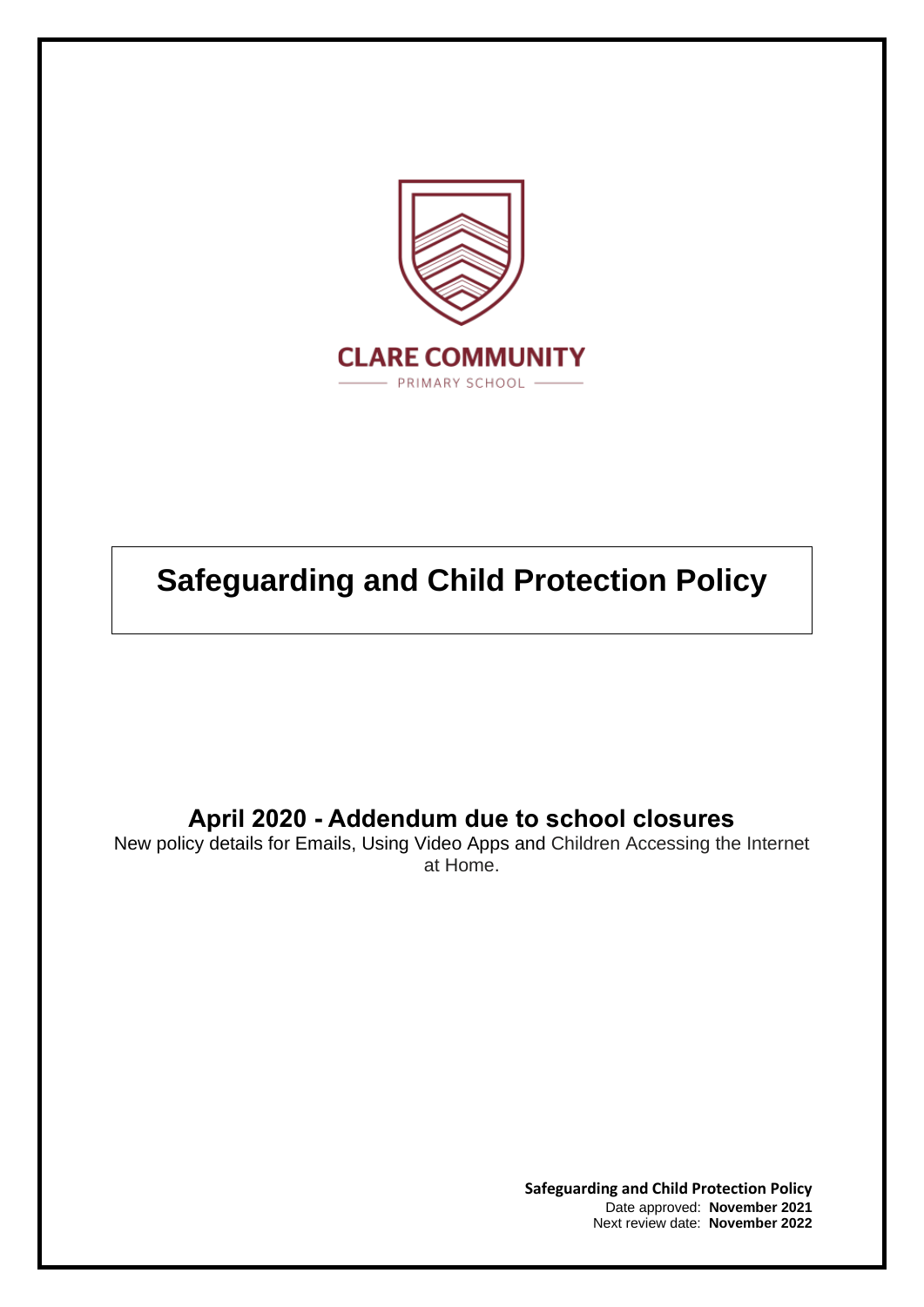

# **Safeguarding and Child Protection Policy**

## **April 2020 - Addendum due to school closures**

New policy details for Emails, Using Video Apps and Children Accessing the Internet at Home.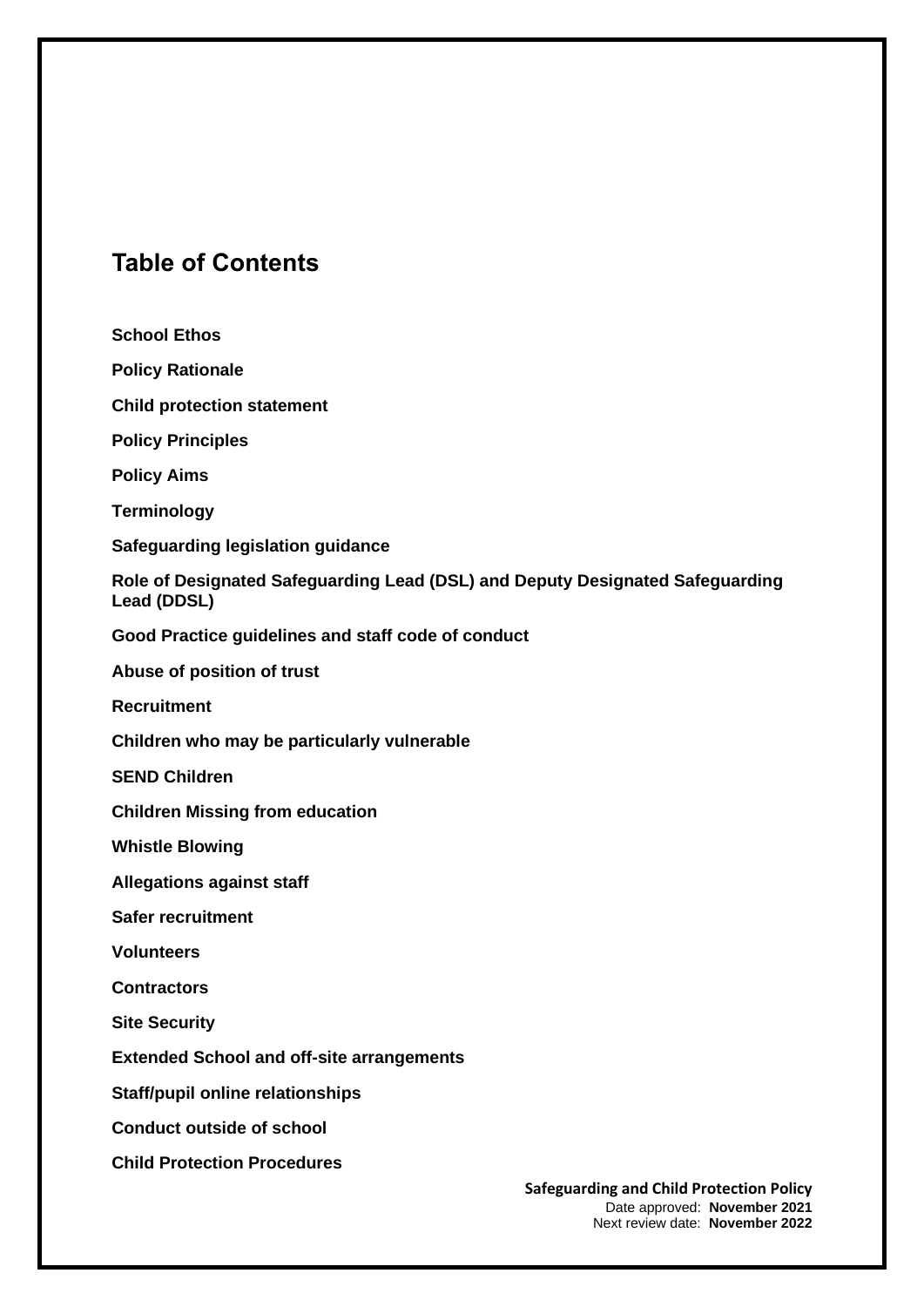### **Table of Contents**

**School Ethos Policy Rationale Child protection statement Policy Principles Policy Aims Terminology Safeguarding legislation guidance Role of Designated Safeguarding Lead (DSL) and Deputy Designated Safeguarding Lead (DDSL) Good Practice guidelines and staff code of conduct Abuse of position of trust Recruitment Children who may be particularly vulnerable SEND Children Children Missing from education Whistle Blowing Allegations against staff Safer recruitment Volunteers Contractors Site Security Extended School and off-site arrangements Staff/pupil online relationships Conduct outside of school Child Protection Procedures**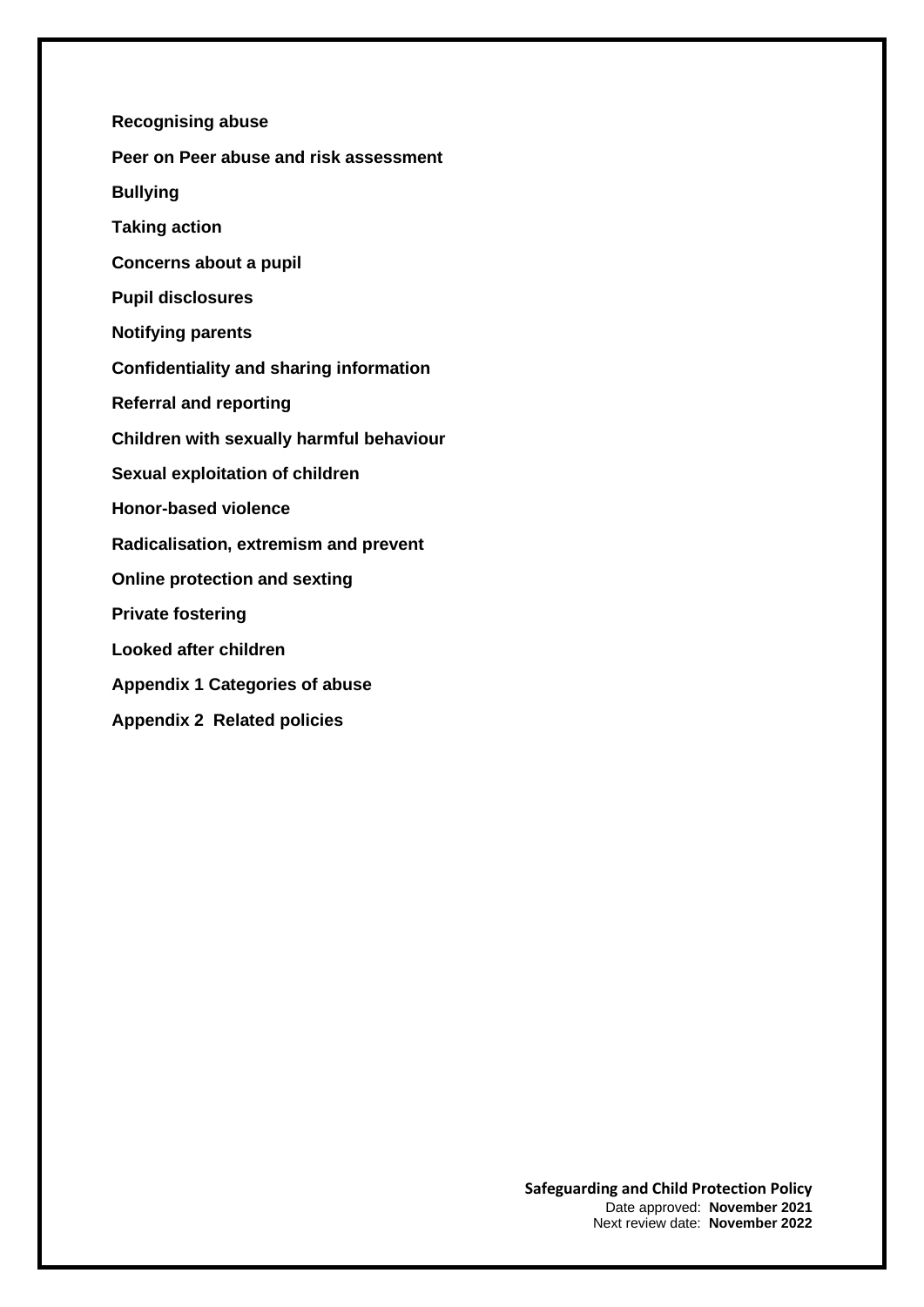- **Recognising abuse Peer on Peer abuse and risk assessment Bullying Taking action Concerns about a pupil Pupil disclosures Notifying parents Confidentiality and sharing information Referral and reporting Children with sexually harmful behaviour Sexual exploitation of children Honor-based violence Radicalisation, extremism and prevent Online protection and sexting Private fostering Looked after children Appendix 1 Categories of abuse**
- **Appendix 2 Related policies**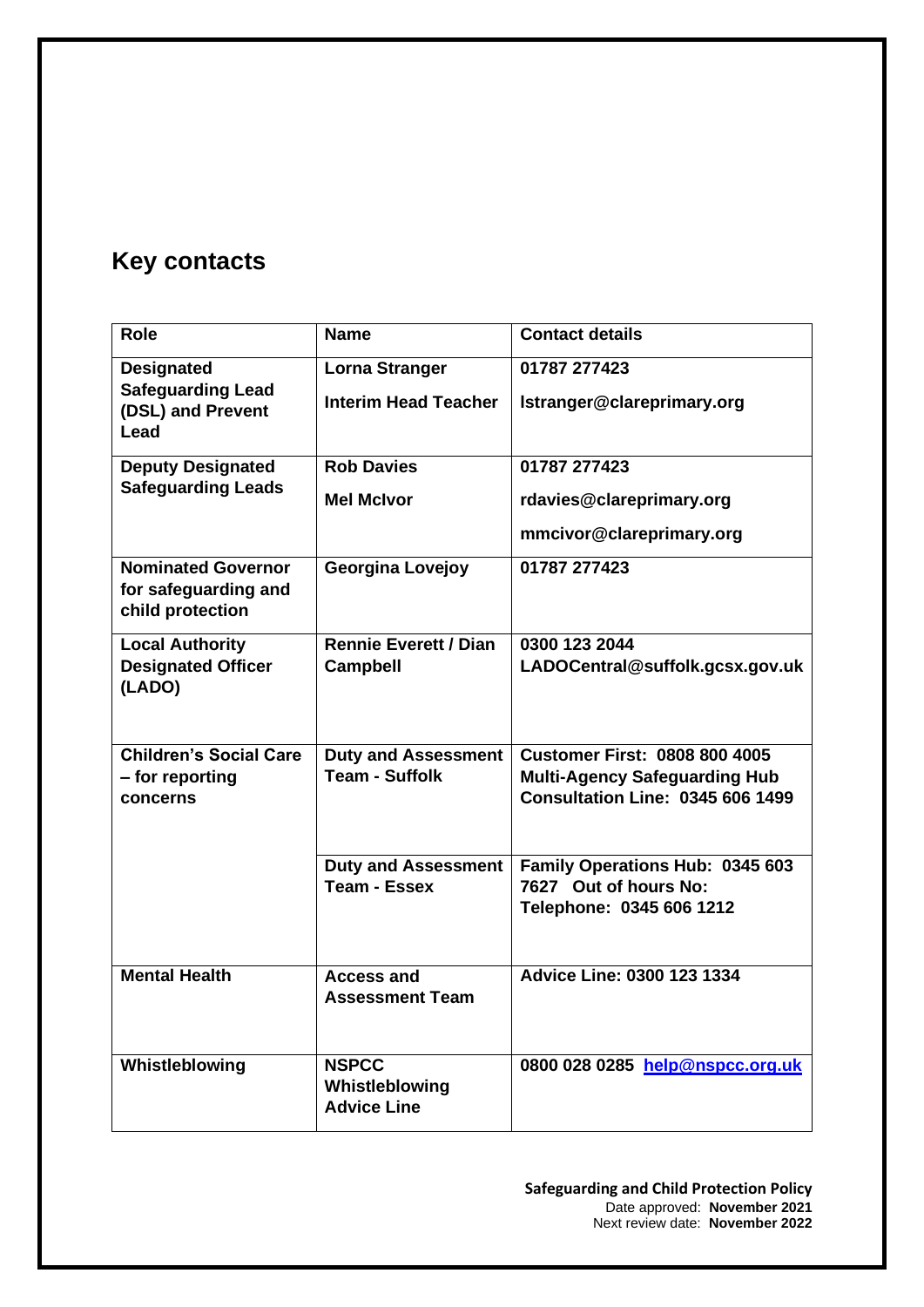## **Key contacts**

| <b>Role</b>                                                                | <b>Name</b>                                          | <b>Contact details</b>                                                                                                  |
|----------------------------------------------------------------------------|------------------------------------------------------|-------------------------------------------------------------------------------------------------------------------------|
| <b>Designated</b><br><b>Safeguarding Lead</b><br>(DSL) and Prevent<br>Lead | <b>Lorna Stranger</b><br><b>Interim Head Teacher</b> | 01787 277423<br>Istranger@clareprimary.org                                                                              |
| <b>Deputy Designated</b><br><b>Safeguarding Leads</b>                      | <b>Rob Davies</b><br><b>Mel McIvor</b>               | 01787 277423<br>rdavies@clareprimary.org<br>mmcivor@clareprimary.org                                                    |
| <b>Nominated Governor</b><br>for safeguarding and<br>child protection      | <b>Georgina Lovejoy</b>                              | 01787 277423                                                                                                            |
| <b>Local Authority</b><br><b>Designated Officer</b><br>(LADO)              | <b>Rennie Everett / Dian</b><br><b>Campbell</b>      | 0300 123 2044<br>LADOCentral@suffolk.gcsx.gov.uk                                                                        |
| <b>Children's Social Care</b><br>- for reporting<br>concerns               | <b>Duty and Assessment</b><br><b>Team - Suffolk</b>  | <b>Customer First: 0808 800 4005</b><br><b>Multi-Agency Safeguarding Hub</b><br><b>Consultation Line: 0345 606 1499</b> |
|                                                                            | <b>Duty and Assessment</b><br><b>Team - Essex</b>    | Family Operations Hub: 0345 603<br>7627 Out of hours No:<br>Telephone: 0345 606 1212                                    |
| <b>Mental Health</b>                                                       | <b>Access and</b><br><b>Assessment Team</b>          | <b>Advice Line: 0300 123 1334</b>                                                                                       |
| Whistleblowing                                                             | <b>NSPCC</b><br>Whistleblowing<br><b>Advice Line</b> | 0800 028 0285 help@nspcc.org.uk                                                                                         |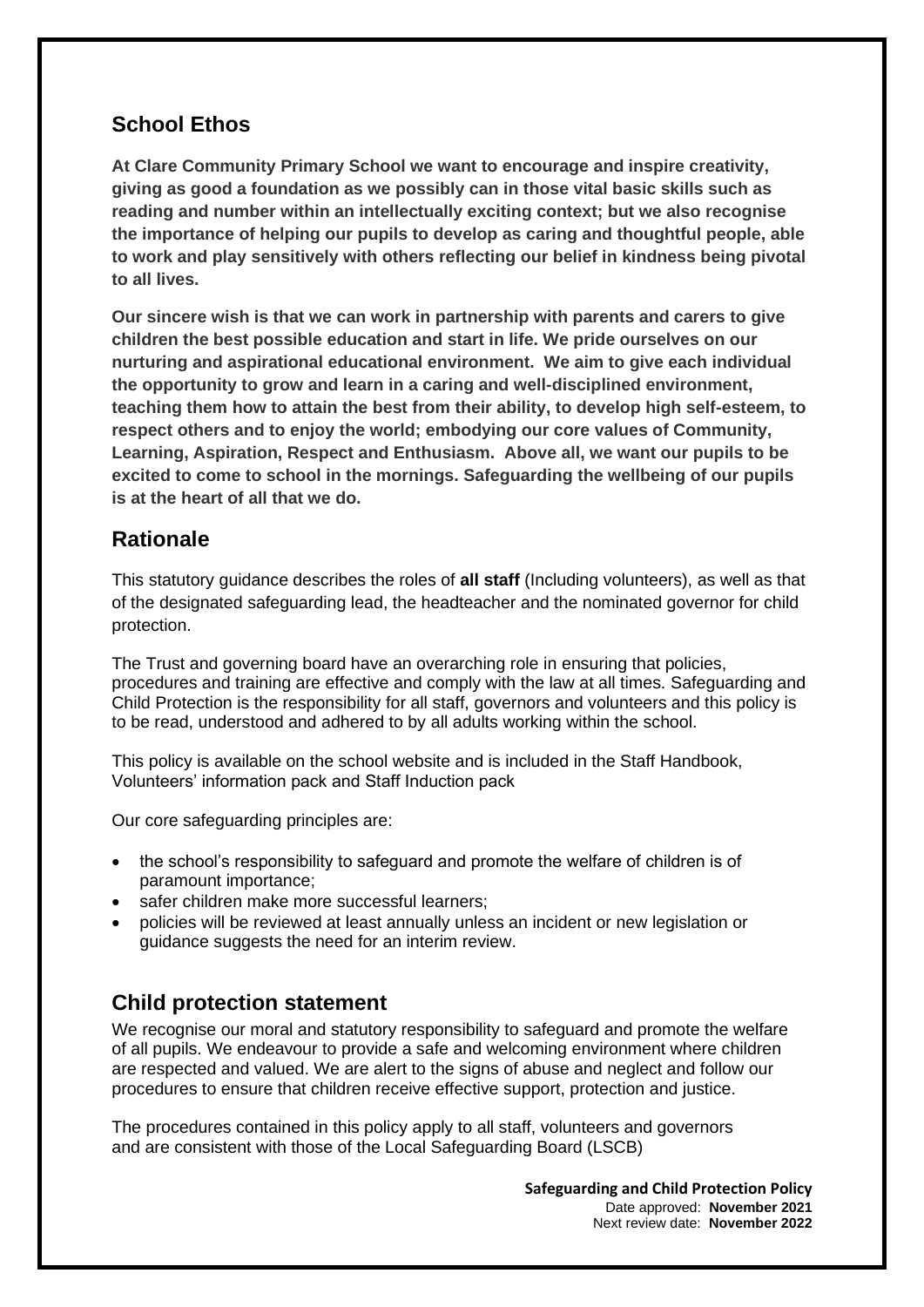### **School Ethos**

**At Clare Community Primary School we want to encourage and inspire creativity, giving as good a foundation as we possibly can in those vital basic skills such as reading and number within an intellectually exciting context; but we also recognise the importance of helping our pupils to develop as caring and thoughtful people, able to work and play sensitively with others reflecting our belief in kindness being pivotal to all lives.**

**Our sincere wish is that we can work in partnership with parents and carers to give children the best possible education and start in life. We pride ourselves on our nurturing and aspirational educational environment. We aim to give each individual the opportunity to grow and learn in a caring and well-disciplined environment, teaching them how to attain the best from their ability, to develop high self-esteem, to respect others and to enjoy the world; embodying our core values of Community, Learning, Aspiration, Respect and Enthusiasm. Above all, we want our pupils to be excited to come to school in the mornings. Safeguarding the wellbeing of our pupils is at the heart of all that we do.** 

#### **Rationale**

This statutory guidance describes the roles of **all staff** (Including volunteers), as well as that of the designated safeguarding lead, the headteacher and the nominated governor for child protection.

The Trust and governing board have an overarching role in ensuring that policies, procedures and training are effective and comply with the law at all times. Safeguarding and Child Protection is the responsibility for all staff, governors and volunteers and this policy is to be read, understood and adhered to by all adults working within the school.

This policy is available on the school website and is included in the Staff Handbook, Volunteers' information pack and Staff Induction pack

Our core safeguarding principles are:

- the school's responsibility to safeguard and promote the welfare of children is of paramount importance;
- safer children make more successful learners:
- policies will be reviewed at least annually unless an incident or new legislation or guidance suggests the need for an interim review.

### **Child protection statement**

We recognise our moral and statutory responsibility to safeguard and promote the welfare of all pupils. We endeavour to provide a safe and welcoming environment where children are respected and valued. We are alert to the signs of abuse and neglect and follow our procedures to ensure that children receive effective support, protection and justice.

The procedures contained in this policy apply to all staff, volunteers and governors and are consistent with those of the Local Safeguarding Board (LSCB)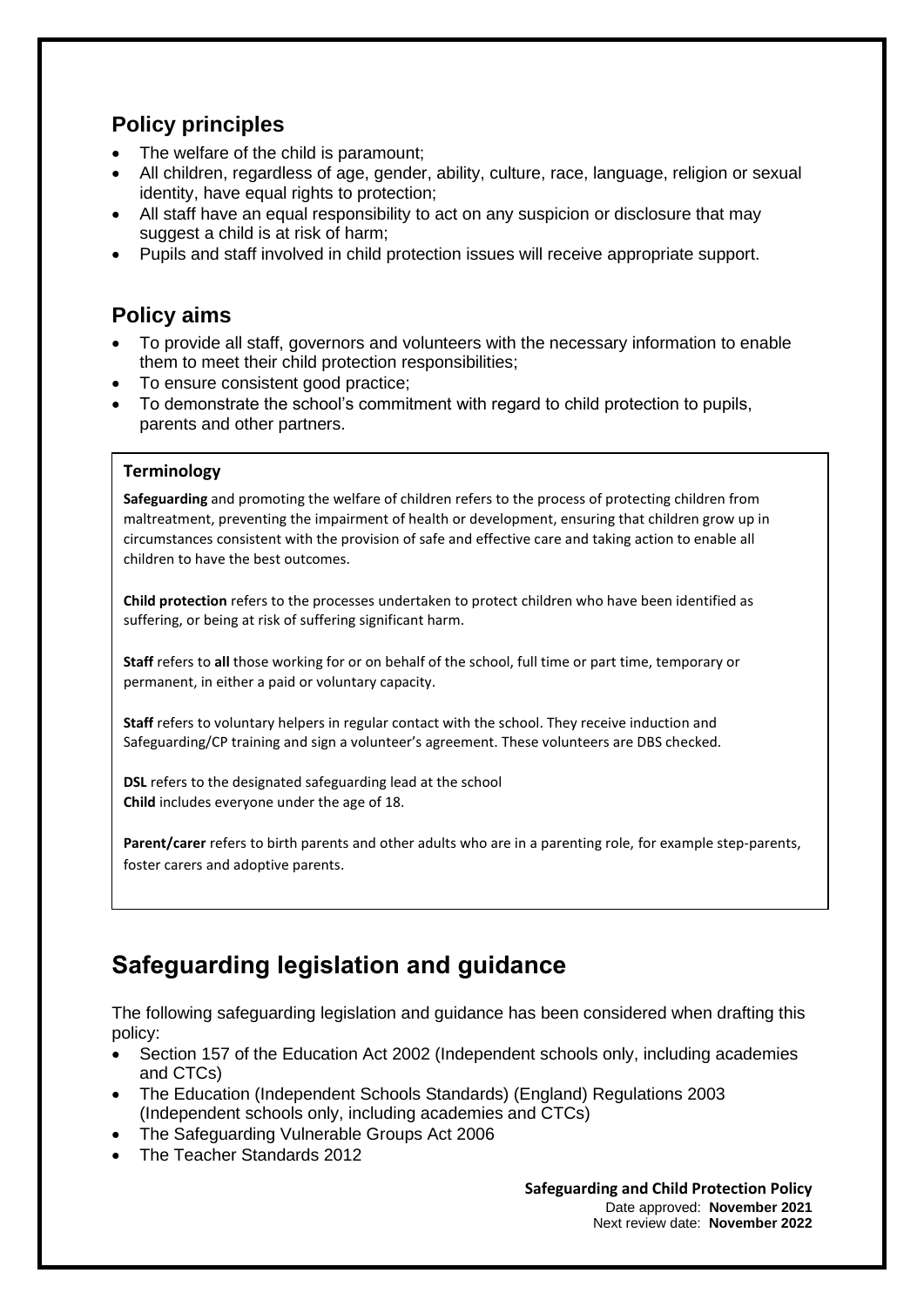### **Policy principles**

- The welfare of the child is paramount;
- All children, regardless of age, gender, ability, culture, race, language, religion or sexual identity, have equal rights to protection;
- All staff have an equal responsibility to act on any suspicion or disclosure that may suggest a child is at risk of harm;
- Pupils and staff involved in child protection issues will receive appropriate support.

### **Policy aims**

- To provide all staff, governors and volunteers with the necessary information to enable them to meet their child protection responsibilities;
- To ensure consistent good practice;
- To demonstrate the school's commitment with regard to child protection to pupils. parents and other partners.

#### **Terminology**

**Safeguarding** and promoting the welfare of children refers to the process of protecting children from maltreatment, preventing the impairment of health or development, ensuring that children grow up in circumstances consistent with the provision of safe and effective care and taking action to enable all children to have the best outcomes.

**Child protection** refers to the processes undertaken to protect children who have been identified as suffering, or being at risk of suffering significant harm.

**Staff** refers to **all** those working for or on behalf of the school, full time or part time, temporary or permanent, in either a paid or voluntary capacity.

**Staff** refers to voluntary helpers in regular contact with the school. They receive induction and Safeguarding/CP training and sign a volunteer's agreement. These volunteers are DBS checked.

**DSL** refers to the designated safeguarding lead at the school **Child** includes everyone under the age of 18.

**Parent/carer** refers to birth parents and other adults who are in a parenting role, for example step-parents, foster carers and adoptive parents.

## **Safeguarding legislation and guidance**

The following safeguarding legislation and guidance has been considered when drafting this policy:

- Section 157 of the Education Act 2002 (Independent schools only, including academies and CTCs)
- The Education (Independent Schools Standards) (England) Regulations 2003 (Independent schools only, including academies and CTCs)
- The Safeguarding Vulnerable Groups Act 2006
- The Teacher Standards 2012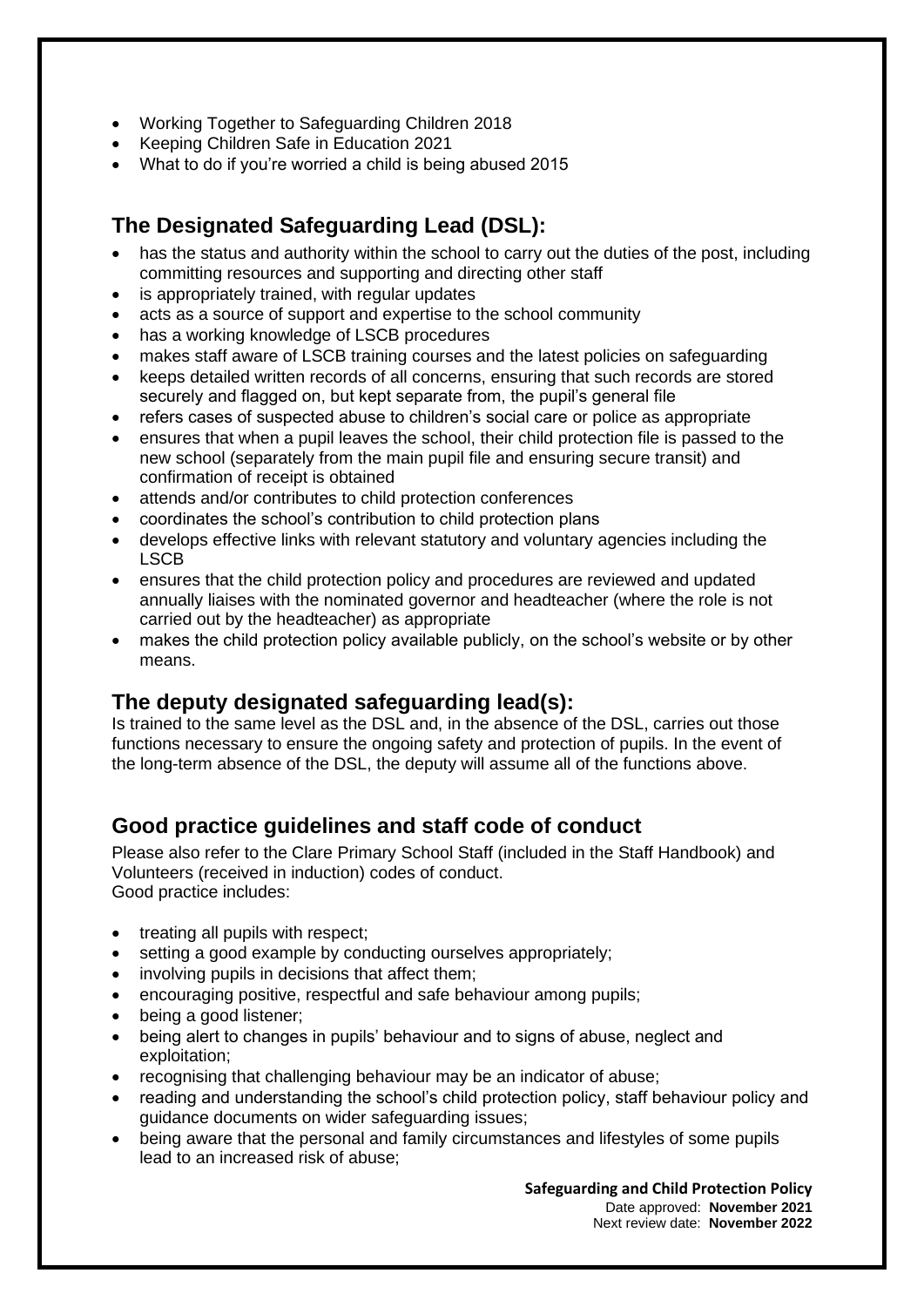- Working Together to Safeguarding Children 2018
- Keeping Children Safe in Education 2021
- What to do if you're worried a child is being abused 2015

### **The Designated Safeguarding Lead (DSL):**

- has the status and authority within the school to carry out the duties of the post, including committing resources and supporting and directing other staff
- is appropriately trained, with regular updates
- acts as a source of support and expertise to the school community
- has a working knowledge of LSCB procedures
- makes staff aware of LSCB training courses and the latest policies on safeguarding
- keeps detailed written records of all concerns, ensuring that such records are stored securely and flagged on, but kept separate from, the pupil's general file
- refers cases of suspected abuse to children's social care or police as appropriate
- ensures that when a pupil leaves the school, their child protection file is passed to the new school (separately from the main pupil file and ensuring secure transit) and confirmation of receipt is obtained
- attends and/or contributes to child protection conferences
- coordinates the school's contribution to child protection plans
- develops effective links with relevant statutory and voluntary agencies including the LSCB
- ensures that the child protection policy and procedures are reviewed and updated annually liaises with the nominated governor and headteacher (where the role is not carried out by the headteacher) as appropriate
- makes the child protection policy available publicly, on the school's website or by other means.

#### **The deputy designated safeguarding lead(s):**

Is trained to the same level as the DSL and, in the absence of the DSL, carries out those functions necessary to ensure the ongoing safety and protection of pupils. In the event of the long-term absence of the DSL, the deputy will assume all of the functions above.

#### **Good practice guidelines and staff code of conduct**

Please also refer to the Clare Primary School Staff (included in the Staff Handbook) and Volunteers (received in induction) codes of conduct. Good practice includes:

- treating all pupils with respect;
- setting a good example by conducting ourselves appropriately:
- involving pupils in decisions that affect them;
- encouraging positive, respectful and safe behaviour among pupils;
- being a good listener;
- being alert to changes in pupils' behaviour and to signs of abuse, neglect and exploitation;
- recognising that challenging behaviour may be an indicator of abuse;
- reading and understanding the school's child protection policy, staff behaviour policy and guidance documents on wider safeguarding issues;
- being aware that the personal and family circumstances and lifestyles of some pupils lead to an increased risk of abuse;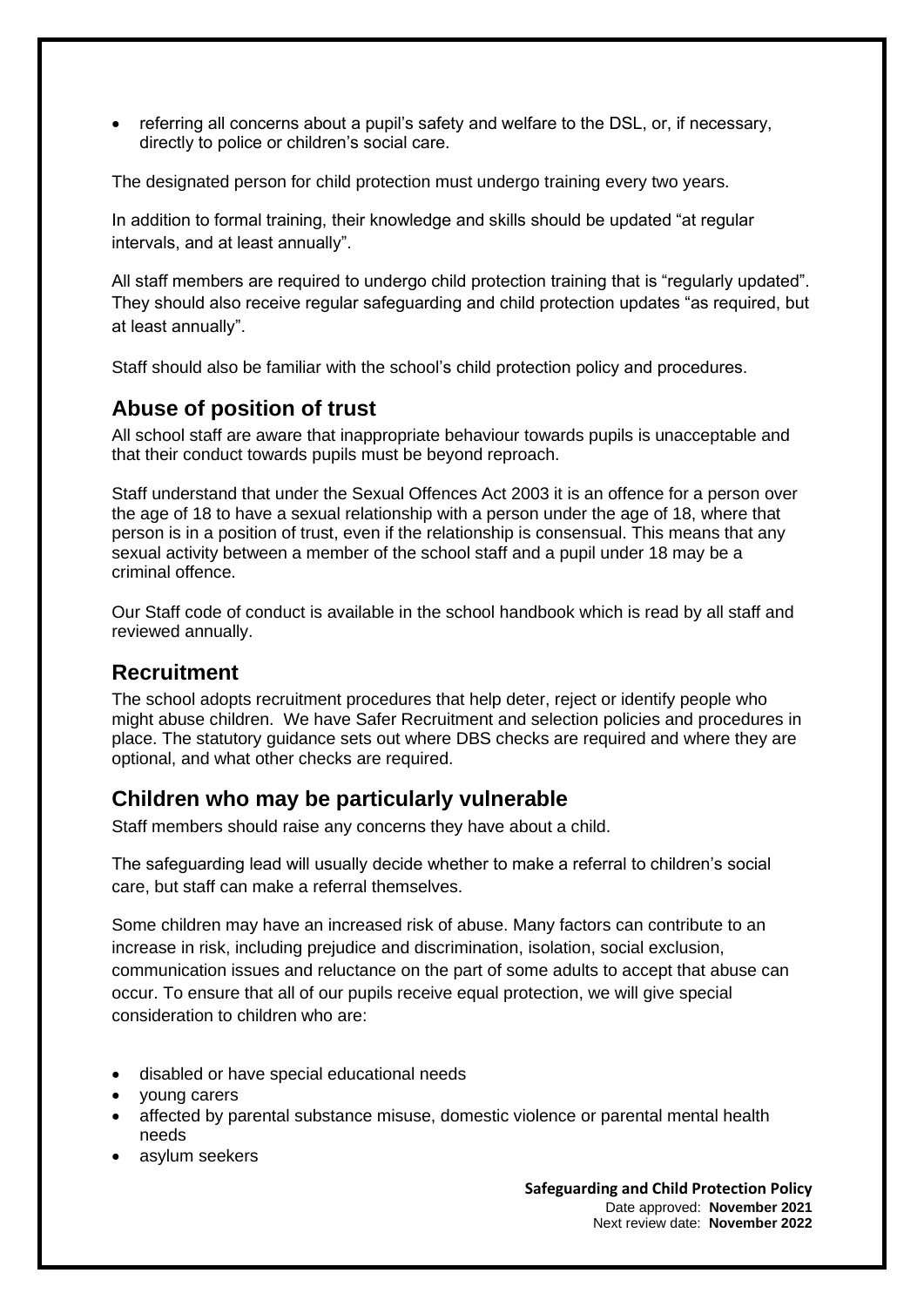• referring all concerns about a pupil's safety and welfare to the DSL, or, if necessary, directly to police or children's social care.

The designated person for child protection must undergo training every two years.

In addition to formal training, their knowledge and skills should be updated "at regular intervals, and at least annually".

All staff members are required to undergo child protection training that is "requiarly updated". They should also receive regular safeguarding and child protection updates "as required, but at least annually".

Staff should also be familiar with the school's child protection policy and procedures.

#### **Abuse of position of trust**

All school staff are aware that inappropriate behaviour towards pupils is unacceptable and that their conduct towards pupils must be beyond reproach.

Staff understand that under the Sexual Offences Act 2003 it is an offence for a person over the age of 18 to have a sexual relationship with a person under the age of 18, where that person is in a position of trust, even if the relationship is consensual. This means that any sexual activity between a member of the school staff and a pupil under 18 may be a criminal offence.

Our Staff code of conduct is available in the school handbook which is read by all staff and reviewed annually.

#### **Recruitment**

The school adopts recruitment procedures that help deter, reject or identify people who might abuse children. We have Safer Recruitment and selection policies and procedures in place. The statutory guidance sets out where DBS checks are required and where they are optional, and what other checks are required.

#### **Children who may be particularly vulnerable**

Staff members should raise any concerns they have about a child.

The safeguarding lead will usually decide whether to make a referral to children's social care, but staff can make a referral themselves.

Some children may have an increased risk of abuse. Many factors can contribute to an increase in risk, including prejudice and discrimination, isolation, social exclusion, communication issues and reluctance on the part of some adults to accept that abuse can occur. To ensure that all of our pupils receive equal protection, we will give special consideration to children who are:

- disabled or have special educational needs
- young carers
- affected by parental substance misuse, domestic violence or parental mental health needs
- asylum seekers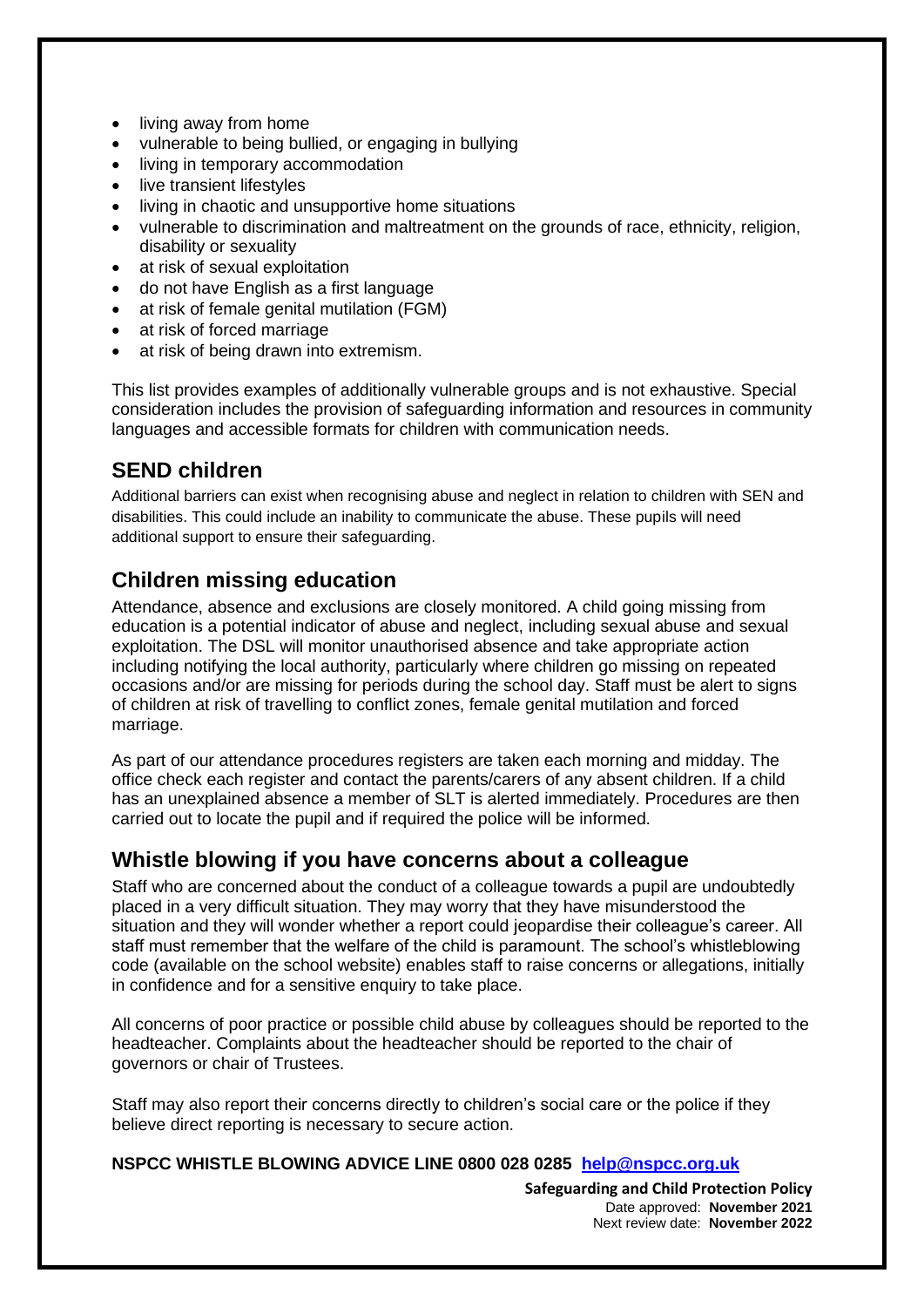- living away from home
- vulnerable to being bullied, or engaging in bullying
- living in temporary accommodation
- live transient lifestyles
- living in chaotic and unsupportive home situations
- vulnerable to discrimination and maltreatment on the grounds of race, ethnicity, religion, disability or sexuality
- at risk of sexual exploitation
- do not have English as a first language
- at risk of female genital mutilation (FGM)
- at risk of forced marriage
- at risk of being drawn into extremism.

This list provides examples of additionally vulnerable groups and is not exhaustive. Special consideration includes the provision of safeguarding information and resources in community languages and accessible formats for children with communication needs.

#### **SEND children**

Additional barriers can exist when recognising abuse and neglect in relation to children with SEN and disabilities. This could include an inability to communicate the abuse. These pupils will need additional support to ensure their safeguarding.

#### **Children missing education**

Attendance, absence and exclusions are closely monitored. A child going missing from education is a potential indicator of abuse and neglect, including sexual abuse and sexual exploitation. The DSL will monitor unauthorised absence and take appropriate action including notifying the local authority, particularly where children go missing on repeated occasions and/or are missing for periods during the school day. Staff must be alert to signs of children at risk of travelling to conflict zones, female genital mutilation and forced marriage.

As part of our attendance procedures registers are taken each morning and midday. The office check each register and contact the parents/carers of any absent children. If a child has an unexplained absence a member of SLT is alerted immediately. Procedures are then carried out to locate the pupil and if required the police will be informed.

#### **Whistle blowing if you have concerns about a colleague**

Staff who are concerned about the conduct of a colleague towards a pupil are undoubtedly placed in a very difficult situation. They may worry that they have misunderstood the situation and they will wonder whether a report could jeopardise their colleague's career. All staff must remember that the welfare of the child is paramount. The school's whistleblowing code (available on the school website) enables staff to raise concerns or allegations, initially in confidence and for a sensitive enquiry to take place.

All concerns of poor practice or possible child abuse by colleagues should be reported to the headteacher. Complaints about the headteacher should be reported to the chair of governors or chair of Trustees.

Staff may also report their concerns directly to children's social care or the police if they believe direct reporting is necessary to secure action.

#### **NSPCC WHISTLE BLOWING ADVICE LINE 0800 028 0285 [help@nspcc.org.uk](mailto:help@nspcc.org.uk)**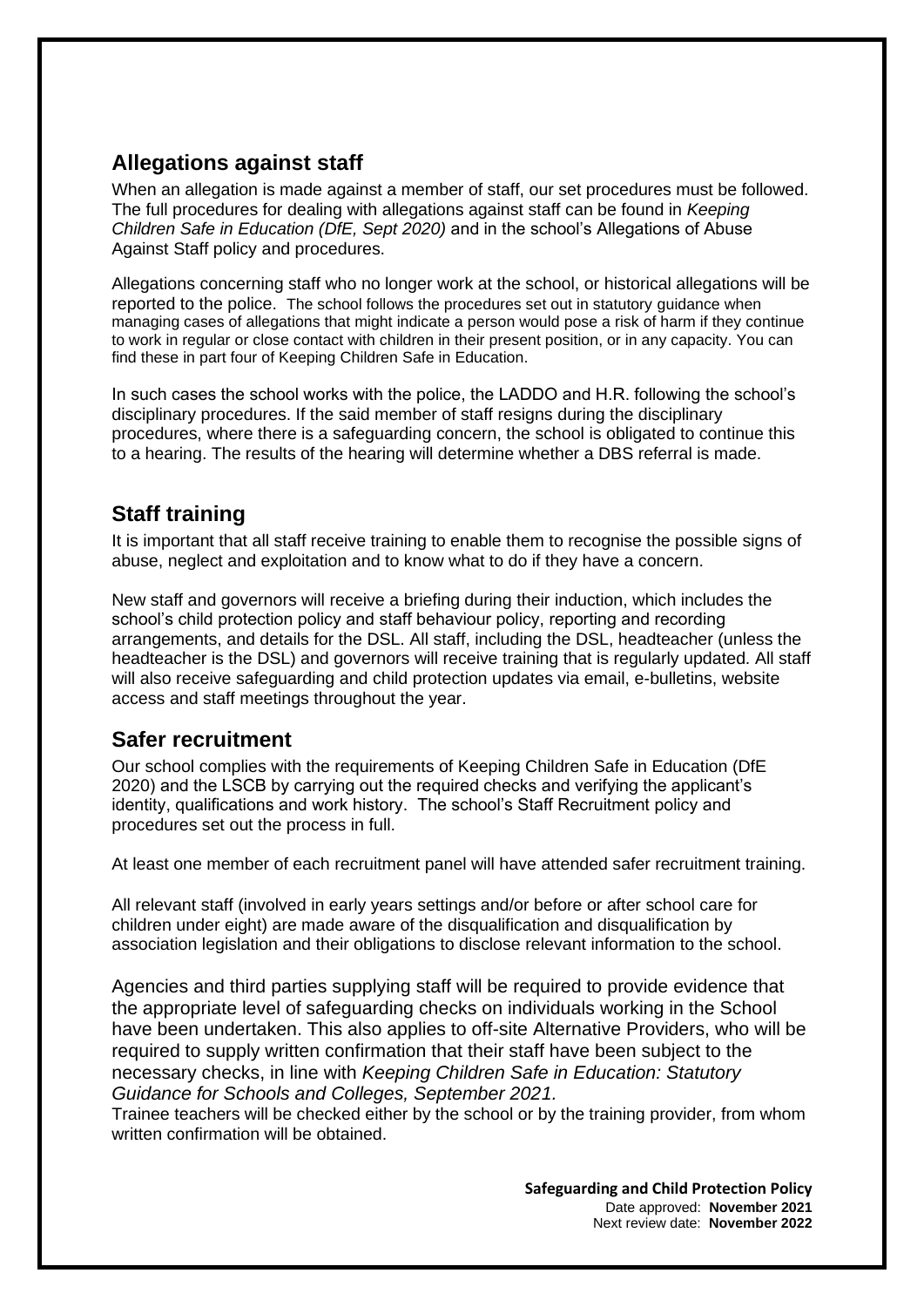### **Allegations against staff**

When an allegation is made against a member of staff, our set procedures must be followed. The full procedures for dealing with allegations against staff can be found in *Keeping Children Safe in Education (DfE, Sept 2020)* and in the school's Allegations of Abuse Against Staff policy and procedures.

Allegations concerning staff who no longer work at the school, or historical allegations will be reported to the police. The school follows the procedures set out in statutory guidance when managing cases of allegations that might indicate a person would pose a risk of harm if they continue to work in regular or close contact with children in their present position, or in any capacity. You can find these in part four of Keeping Children Safe in Education.

In such cases the school works with the police, the LADDO and H.R. following the school's disciplinary procedures. If the said member of staff resigns during the disciplinary procedures, where there is a safeguarding concern, the school is obligated to continue this to a hearing. The results of the hearing will determine whether a DBS referral is made.

### **Staff training**

It is important that all staff receive training to enable them to recognise the possible signs of abuse, neglect and exploitation and to know what to do if they have a concern.

New staff and governors will receive a briefing during their induction, which includes the school's child protection policy and staff behaviour policy, reporting and recording arrangements, and details for the DSL. All staff, including the DSL, headteacher (unless the headteacher is the DSL) and governors will receive training that is regularly updated. All staff will also receive safeguarding and child protection updates via email, e-bulletins, website access and staff meetings throughout the year.

#### **Safer recruitment**

Our school complies with the requirements of Keeping Children Safe in Education (DfE 2020) and the LSCB by carrying out the required checks and verifying the applicant's identity, qualifications and work history. The school's Staff Recruitment policy and procedures set out the process in full.

At least one member of each recruitment panel will have attended safer recruitment training.

All relevant staff (involved in early years settings and/or before or after school care for children under eight) are made aware of the disqualification and disqualification by association legislation and their obligations to disclose relevant information to the school.

Agencies and third parties supplying staff will be required to provide evidence that the appropriate level of safeguarding checks on individuals working in the School have been undertaken. This also applies to off-site Alternative Providers, who will be required to supply written confirmation that their staff have been subject to the necessary checks, in line with *Keeping Children Safe in Education: Statutory Guidance for Schools and Colleges, September 2021.*

Trainee teachers will be checked either by the school or by the training provider, from whom written confirmation will be obtained.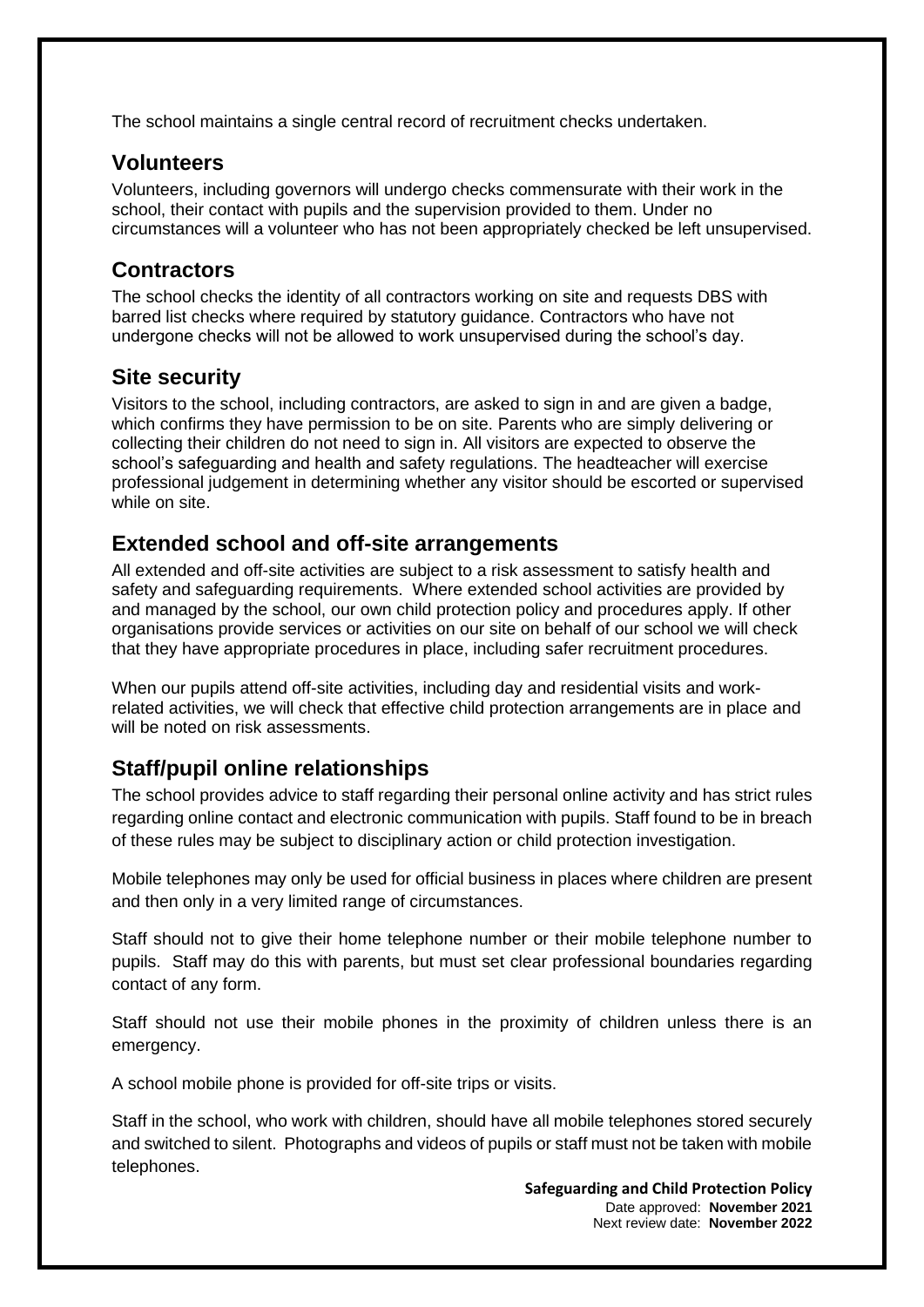The school maintains a single central record of recruitment checks undertaken.

#### **Volunteers**

Volunteers, including governors will undergo checks commensurate with their work in the school, their contact with pupils and the supervision provided to them. Under no circumstances will a volunteer who has not been appropriately checked be left unsupervised.

### **Contractors**

The school checks the identity of all contractors working on site and requests DBS with barred list checks where required by statutory guidance. Contractors who have not undergone checks will not be allowed to work unsupervised during the school's day.

### **Site security**

Visitors to the school, including contractors, are asked to sign in and are given a badge, which confirms they have permission to be on site. Parents who are simply delivering or collecting their children do not need to sign in. All visitors are expected to observe the school's safeguarding and health and safety regulations. The headteacher will exercise professional judgement in determining whether any visitor should be escorted or supervised while on site.

### **Extended school and off-site arrangements**

All extended and off-site activities are subject to a risk assessment to satisfy health and safety and safeguarding requirements. Where extended school activities are provided by and managed by the school, our own child protection policy and procedures apply. If other organisations provide services or activities on our site on behalf of our school we will check that they have appropriate procedures in place, including safer recruitment procedures.

When our pupils attend off-site activities, including day and residential visits and workrelated activities, we will check that effective child protection arrangements are in place and will be noted on risk assessments.

### **Staff/pupil online relationships**

The school provides advice to staff regarding their personal online activity and has strict rules regarding online contact and electronic communication with pupils. Staff found to be in breach of these rules may be subject to disciplinary action or child protection investigation.

Mobile telephones may only be used for official business in places where children are present and then only in a very limited range of circumstances.

Staff should not to give their home telephone number or their mobile telephone number to pupils. Staff may do this with parents, but must set clear professional boundaries regarding contact of any form.

Staff should not use their mobile phones in the proximity of children unless there is an emergency.

A school mobile phone is provided for off-site trips or visits.

Staff in the school, who work with children, should have all mobile telephones stored securely and switched to silent. Photographs and videos of pupils or staff must not be taken with mobile telephones.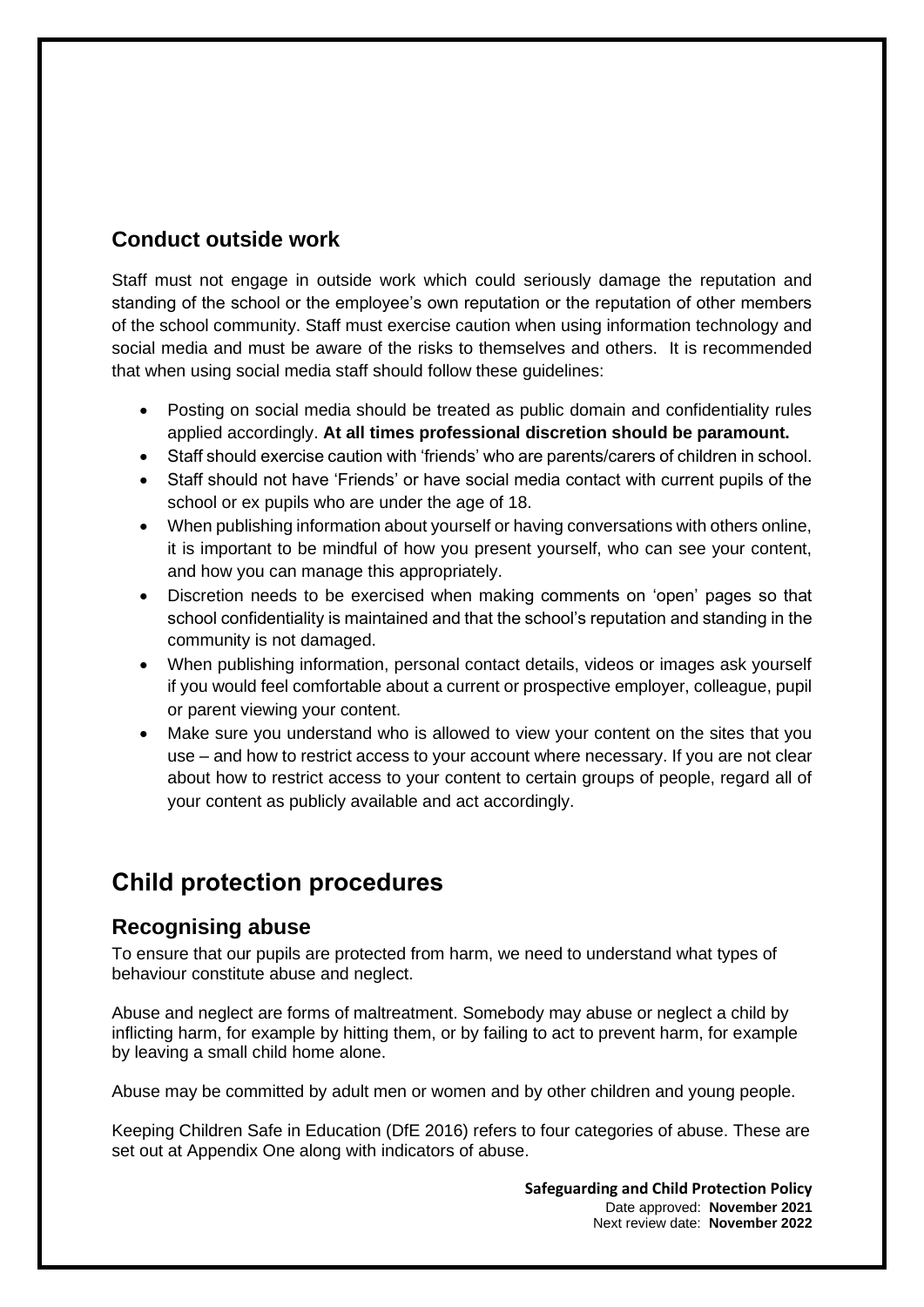### **Conduct outside work**

Staff must not engage in outside work which could seriously damage the reputation and standing of the school or the employee's own reputation or the reputation of other members of the school community. Staff must exercise caution when using information technology and social media and must be aware of the risks to themselves and others. It is recommended that when using social media staff should follow these guidelines:

- Posting on social media should be treated as public domain and confidentiality rules applied accordingly. **At all times professional discretion should be paramount.**
- Staff should exercise caution with 'friends' who are parents/carers of children in school.
- Staff should not have 'Friends' or have social media contact with current pupils of the school or ex pupils who are under the age of 18.
- When publishing information about yourself or having conversations with others online, it is important to be mindful of how you present yourself, who can see your content, and how you can manage this appropriately.
- Discretion needs to be exercised when making comments on 'open' pages so that school confidentiality is maintained and that the school's reputation and standing in the community is not damaged.
- When publishing information, personal contact details, videos or images ask yourself if you would feel comfortable about a current or prospective employer, colleague, pupil or parent viewing your content.
- Make sure you understand who is allowed to view your content on the sites that you use – and how to restrict access to your account where necessary. If you are not clear about how to restrict access to your content to certain groups of people, regard all of your content as publicly available and act accordingly.

## **Child protection procedures**

#### **Recognising abuse**

To ensure that our pupils are protected from harm, we need to understand what types of behaviour constitute abuse and neglect.

Abuse and neglect are forms of maltreatment. Somebody may abuse or neglect a child by inflicting harm, for example by hitting them, or by failing to act to prevent harm, for example by leaving a small child home alone.

Abuse may be committed by adult men or women and by other children and young people.

Keeping Children Safe in Education (DfE 2016) refers to four categories of abuse. These are set out at Appendix One along with indicators of abuse.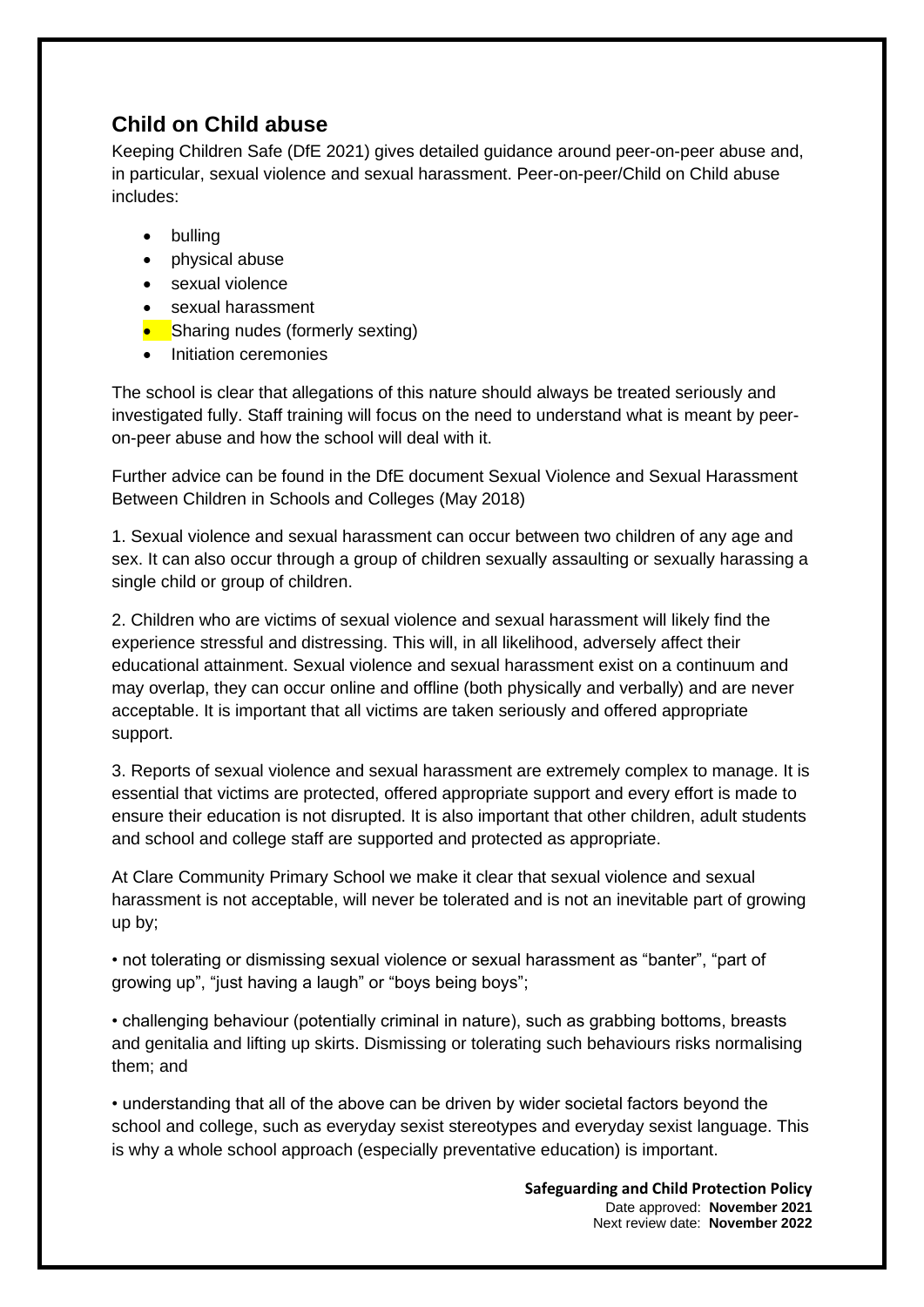### **Child on Child abuse**

Keeping Children Safe (DfE 2021) gives detailed guidance around peer-on-peer abuse and, in particular, sexual violence and sexual harassment. Peer-on-peer/Child on Child abuse includes:

- bulling
- physical abuse
- sexual violence
- sexual harassment
- Sharing nudes (formerly sexting)
- Initiation ceremonies

The school is clear that allegations of this nature should always be treated seriously and investigated fully. Staff training will focus on the need to understand what is meant by peeron-peer abuse and how the school will deal with it.

Further advice can be found in the DfE document Sexual Violence and Sexual Harassment Between Children in Schools and Colleges (May 2018)

1. Sexual violence and sexual harassment can occur between two children of any age and sex. It can also occur through a group of children sexually assaulting or sexually harassing a single child or group of children.

2. Children who are victims of sexual violence and sexual harassment will likely find the experience stressful and distressing. This will, in all likelihood, adversely affect their educational attainment. Sexual violence and sexual harassment exist on a continuum and may overlap, they can occur online and offline (both physically and verbally) and are never acceptable. It is important that all victims are taken seriously and offered appropriate support.

3. Reports of sexual violence and sexual harassment are extremely complex to manage. It is essential that victims are protected, offered appropriate support and every effort is made to ensure their education is not disrupted. It is also important that other children, adult students and school and college staff are supported and protected as appropriate.

At Clare Community Primary School we make it clear that sexual violence and sexual harassment is not acceptable, will never be tolerated and is not an inevitable part of growing up by;

• not tolerating or dismissing sexual violence or sexual harassment as "banter", "part of growing up", "just having a laugh" or "boys being boys";

• challenging behaviour (potentially criminal in nature), such as grabbing bottoms, breasts and genitalia and lifting up skirts. Dismissing or tolerating such behaviours risks normalising them; and

• understanding that all of the above can be driven by wider societal factors beyond the school and college, such as everyday sexist stereotypes and everyday sexist language. This is why a whole school approach (especially preventative education) is important.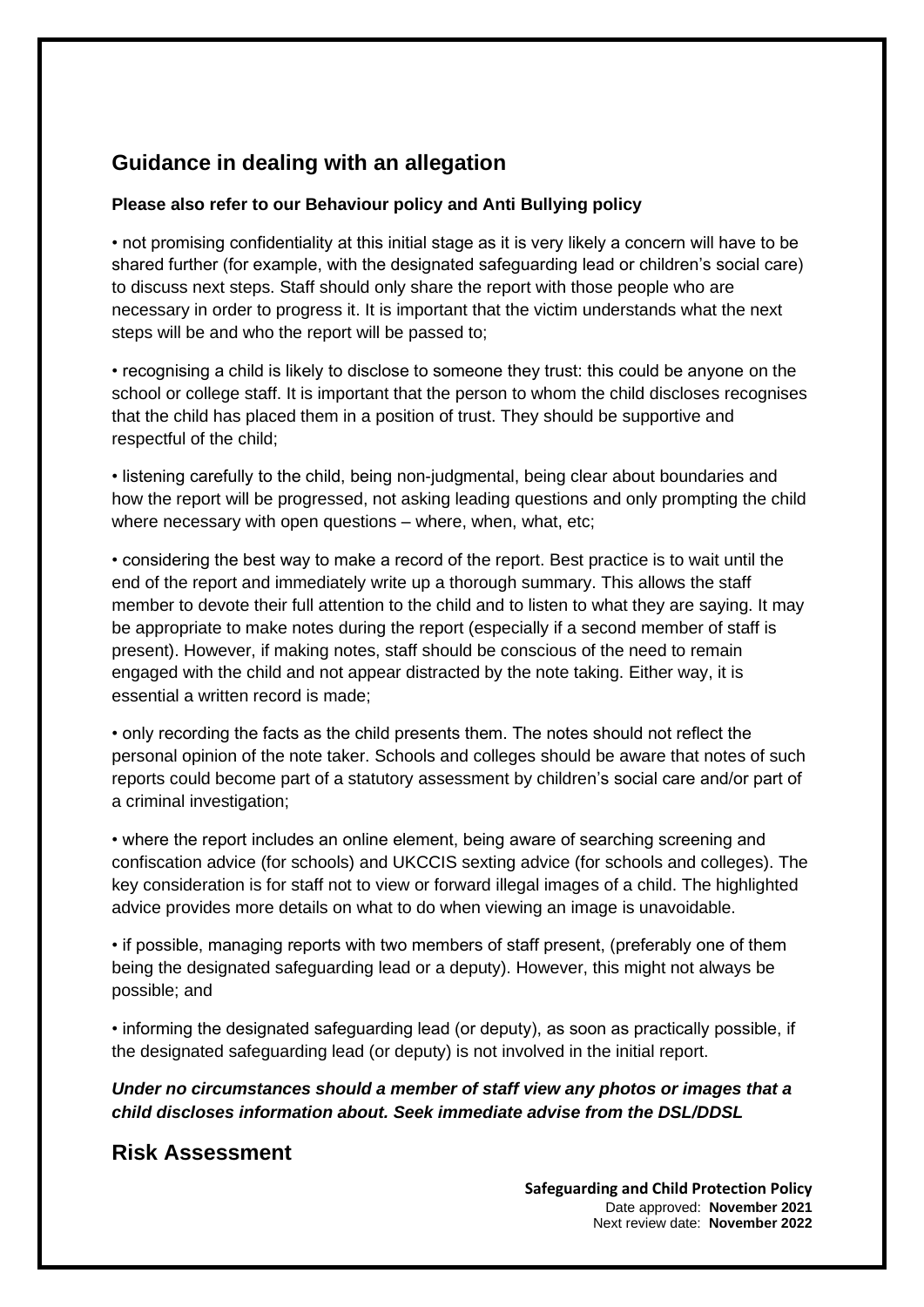### **Guidance in dealing with an allegation**

#### **Please also refer to our Behaviour policy and Anti Bullying policy**

• not promising confidentiality at this initial stage as it is very likely a concern will have to be shared further (for example, with the designated safeguarding lead or children's social care) to discuss next steps. Staff should only share the report with those people who are necessary in order to progress it. It is important that the victim understands what the next steps will be and who the report will be passed to;

• recognising a child is likely to disclose to someone they trust: this could be anyone on the school or college staff. It is important that the person to whom the child discloses recognises that the child has placed them in a position of trust. They should be supportive and respectful of the child;

• listening carefully to the child, being non-judgmental, being clear about boundaries and how the report will be progressed, not asking leading questions and only prompting the child where necessary with open questions – where, when, what, etc;

• considering the best way to make a record of the report. Best practice is to wait until the end of the report and immediately write up a thorough summary. This allows the staff member to devote their full attention to the child and to listen to what they are saying. It may be appropriate to make notes during the report (especially if a second member of staff is present). However, if making notes, staff should be conscious of the need to remain engaged with the child and not appear distracted by the note taking. Either way, it is essential a written record is made;

• only recording the facts as the child presents them. The notes should not reflect the personal opinion of the note taker. Schools and colleges should be aware that notes of such reports could become part of a statutory assessment by children's social care and/or part of a criminal investigation;

• where the report includes an online element, being aware of searching screening and confiscation advice (for schools) and UKCCIS sexting advice (for schools and colleges). The key consideration is for staff not to view or forward illegal images of a child. The highlighted advice provides more details on what to do when viewing an image is unavoidable.

• if possible, managing reports with two members of staff present, (preferably one of them being the designated safeguarding lead or a deputy). However, this might not always be possible; and

• informing the designated safeguarding lead (or deputy), as soon as practically possible, if the designated safeguarding lead (or deputy) is not involved in the initial report.

*Under no circumstances should a member of staff view any photos or images that a child discloses information about. Seek immediate advise from the DSL/DDSL* 

#### **Risk Assessment**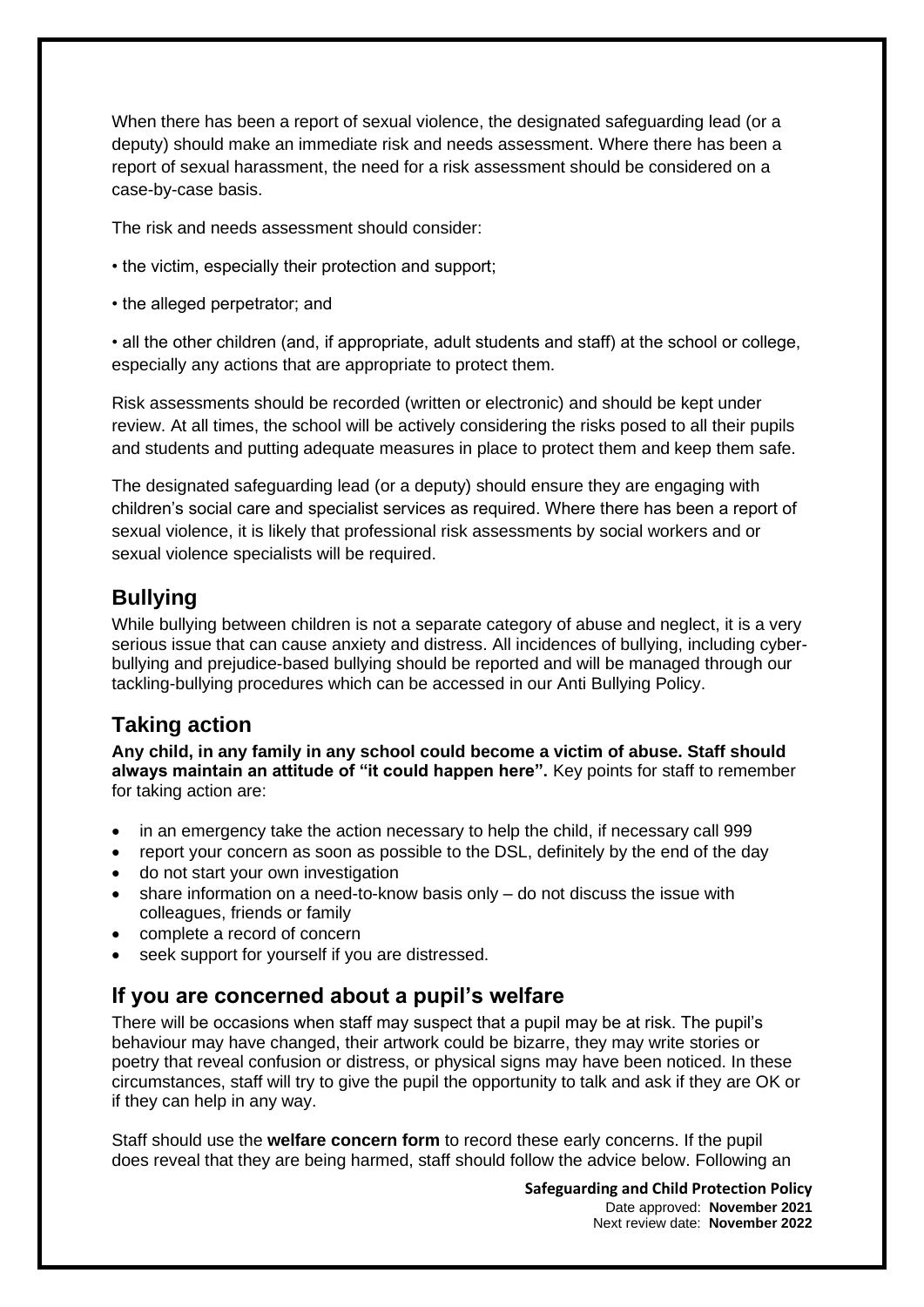When there has been a report of sexual violence, the designated safeguarding lead (or a deputy) should make an immediate risk and needs assessment. Where there has been a report of sexual harassment, the need for a risk assessment should be considered on a case-by-case basis.

The risk and needs assessment should consider:

- the victim, especially their protection and support;
- the alleged perpetrator; and

• all the other children (and, if appropriate, adult students and staff) at the school or college, especially any actions that are appropriate to protect them.

Risk assessments should be recorded (written or electronic) and should be kept under review. At all times, the school will be actively considering the risks posed to all their pupils and students and putting adequate measures in place to protect them and keep them safe.

The designated safeguarding lead (or a deputy) should ensure they are engaging with children's social care and specialist services as required. Where there has been a report of sexual violence, it is likely that professional risk assessments by social workers and or sexual violence specialists will be required.

### **Bullying**

While bullying between children is not a separate category of abuse and neglect, it is a very serious issue that can cause anxiety and distress. All incidences of bullying, including cyberbullying and prejudice-based bullying should be reported and will be managed through our tackling-bullying procedures which can be accessed in our Anti Bullying Policy.

#### **Taking action**

**Any child, in any family in any school could become a victim of abuse. Staff should always maintain an attitude of "it could happen here".** Key points for staff to remember for taking action are:

- in an emergency take the action necessary to help the child, if necessary call 999
- report your concern as soon as possible to the DSL, definitely by the end of the day
- do not start your own investigation
- share information on a need-to-know basis only do not discuss the issue with colleagues, friends or family
- complete a record of concern
- seek support for yourself if you are distressed.

#### **If you are concerned about a pupil's welfare**

There will be occasions when staff may suspect that a pupil may be at risk. The pupil's behaviour may have changed, their artwork could be bizarre, they may write stories or poetry that reveal confusion or distress, or physical signs may have been noticed. In these circumstances, staff will try to give the pupil the opportunity to talk and ask if they are OK or if they can help in any way.

Staff should use the **welfare concern form** to record these early concerns. If the pupil does reveal that they are being harmed, staff should follow the advice below. Following an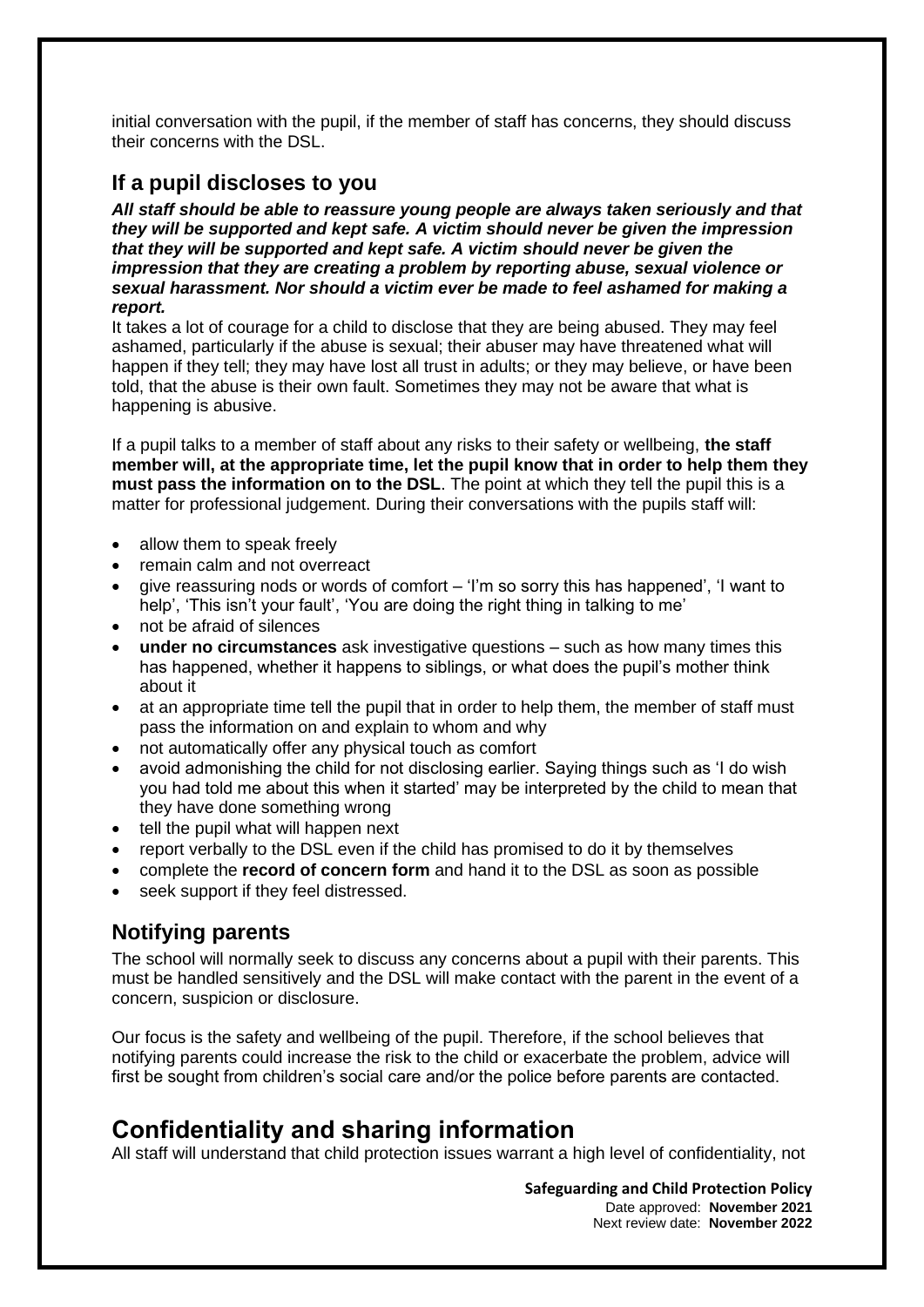initial conversation with the pupil, if the member of staff has concerns, they should discuss their concerns with the DSL.

#### **If a pupil discloses to you**

*All staff should be able to reassure young people are always taken seriously and that they will be supported and kept safe. A victim should never be given the impression that they will be supported and kept safe. A victim should never be given the impression that they are creating a problem by reporting abuse, sexual violence or sexual harassment. Nor should a victim ever be made to feel ashamed for making a report.* 

It takes a lot of courage for a child to disclose that they are being abused. They may feel ashamed, particularly if the abuse is sexual; their abuser may have threatened what will happen if they tell; they may have lost all trust in adults; or they may believe, or have been told, that the abuse is their own fault. Sometimes they may not be aware that what is happening is abusive.

If a pupil talks to a member of staff about any risks to their safety or wellbeing, **the staff member will, at the appropriate time, let the pupil know that in order to help them they must pass the information on to the DSL**. The point at which they tell the pupil this is a matter for professional judgement. During their conversations with the pupils staff will:

- allow them to speak freely
- remain calm and not overreact
- give reassuring nods or words of comfort 'I'm so sorry this has happened', 'I want to help', 'This isn't your fault', 'You are doing the right thing in talking to me'
- not be afraid of silences
- **under no circumstances** ask investigative questions such as how many times this has happened, whether it happens to siblings, or what does the pupil's mother think about it
- at an appropriate time tell the pupil that in order to help them, the member of staff must pass the information on and explain to whom and why
- not automatically offer any physical touch as comfort
- avoid admonishing the child for not disclosing earlier. Saying things such as 'I do wish you had told me about this when it started' may be interpreted by the child to mean that they have done something wrong
- tell the pupil what will happen next
- report verbally to the DSL even if the child has promised to do it by themselves
- complete the **record of concern form** and hand it to the DSL as soon as possible
- seek support if they feel distressed.

#### **Notifying parents**

The school will normally seek to discuss any concerns about a pupil with their parents. This must be handled sensitively and the DSL will make contact with the parent in the event of a concern, suspicion or disclosure.

Our focus is the safety and wellbeing of the pupil. Therefore, if the school believes that notifying parents could increase the risk to the child or exacerbate the problem, advice will first be sought from children's social care and/or the police before parents are contacted.

## **Confidentiality and sharing information**

All staff will understand that child protection issues warrant a high level of confidentiality, not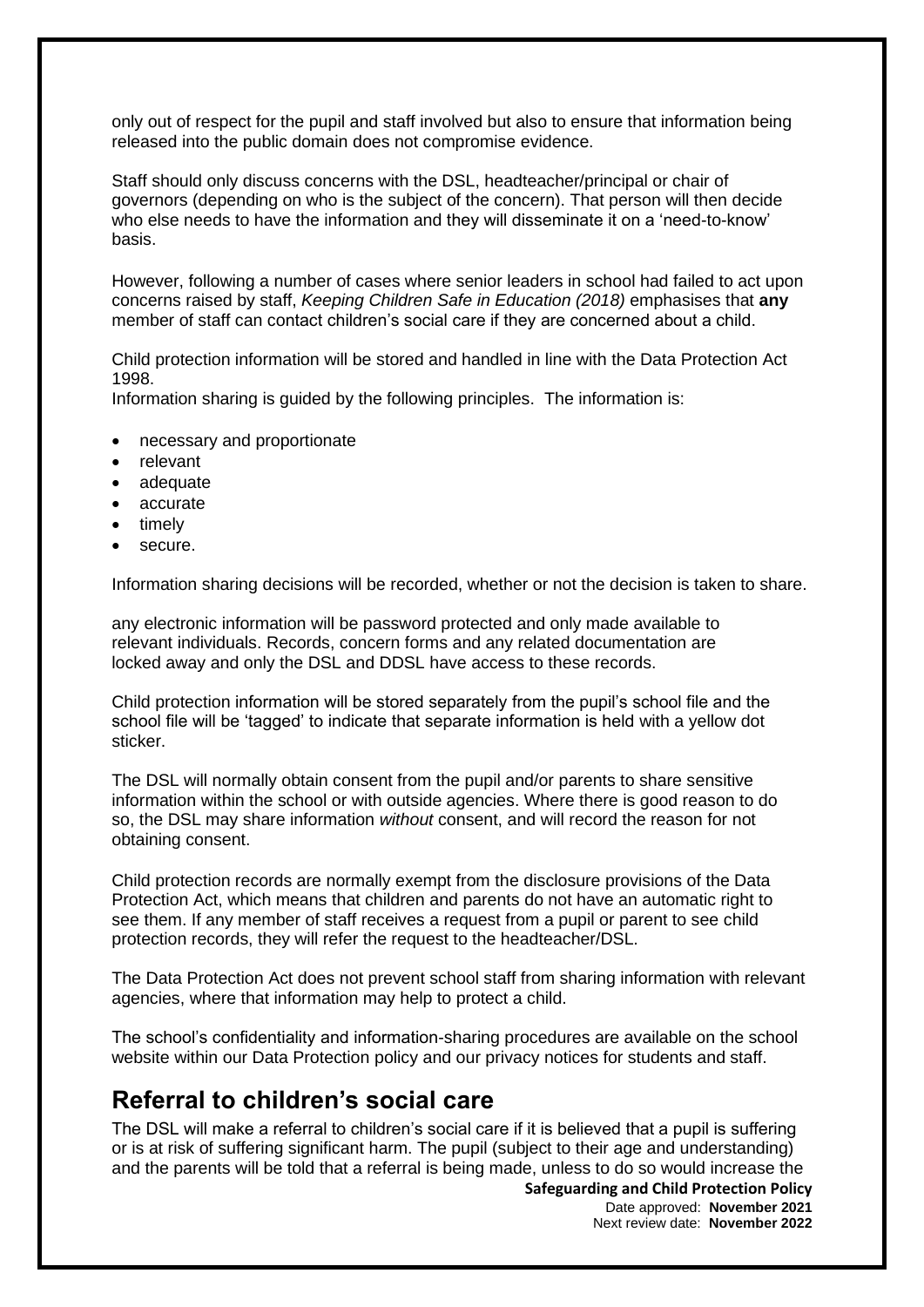only out of respect for the pupil and staff involved but also to ensure that information being released into the public domain does not compromise evidence.

Staff should only discuss concerns with the DSL, headteacher/principal or chair of governors (depending on who is the subject of the concern). That person will then decide who else needs to have the information and they will disseminate it on a 'need-to-know' basis.

However, following a number of cases where senior leaders in school had failed to act upon concerns raised by staff, *Keeping Children Safe in Education (2018)* emphasises that **any** member of staff can contact children's social care if they are concerned about a child.

Child protection information will be stored and handled in line with the Data Protection Act 1998.

Information sharing is guided by the following principles. The information is:

- necessary and proportionate
- relevant
- adequate
- accurate
- timely
- secure.

Information sharing decisions will be recorded, whether or not the decision is taken to share.

any electronic information will be password protected and only made available to relevant individuals. Records, concern forms and any related documentation are locked away and only the DSL and DDSL have access to these records.

Child protection information will be stored separately from the pupil's school file and the school file will be 'tagged' to indicate that separate information is held with a yellow dot sticker.

The DSL will normally obtain consent from the pupil and/or parents to share sensitive information within the school or with outside agencies. Where there is good reason to do so, the DSL may share information *without* consent, and will record the reason for not obtaining consent.

Child protection records are normally exempt from the disclosure provisions of the Data Protection Act, which means that children and parents do not have an automatic right to see them. If any member of staff receives a request from a pupil or parent to see child protection records, they will refer the request to the headteacher/DSL.

The Data Protection Act does not prevent school staff from sharing information with relevant agencies, where that information may help to protect a child.

The school's confidentiality and information-sharing procedures are available on the school website within our Data Protection policy and our privacy notices for students and staff.

### **Referral to children's social care**

The DSL will make a referral to children's social care if it is believed that a pupil is suffering or is at risk of suffering significant harm. The pupil (subject to their age and understanding) and the parents will be told that a referral is being made, unless to do so would increase the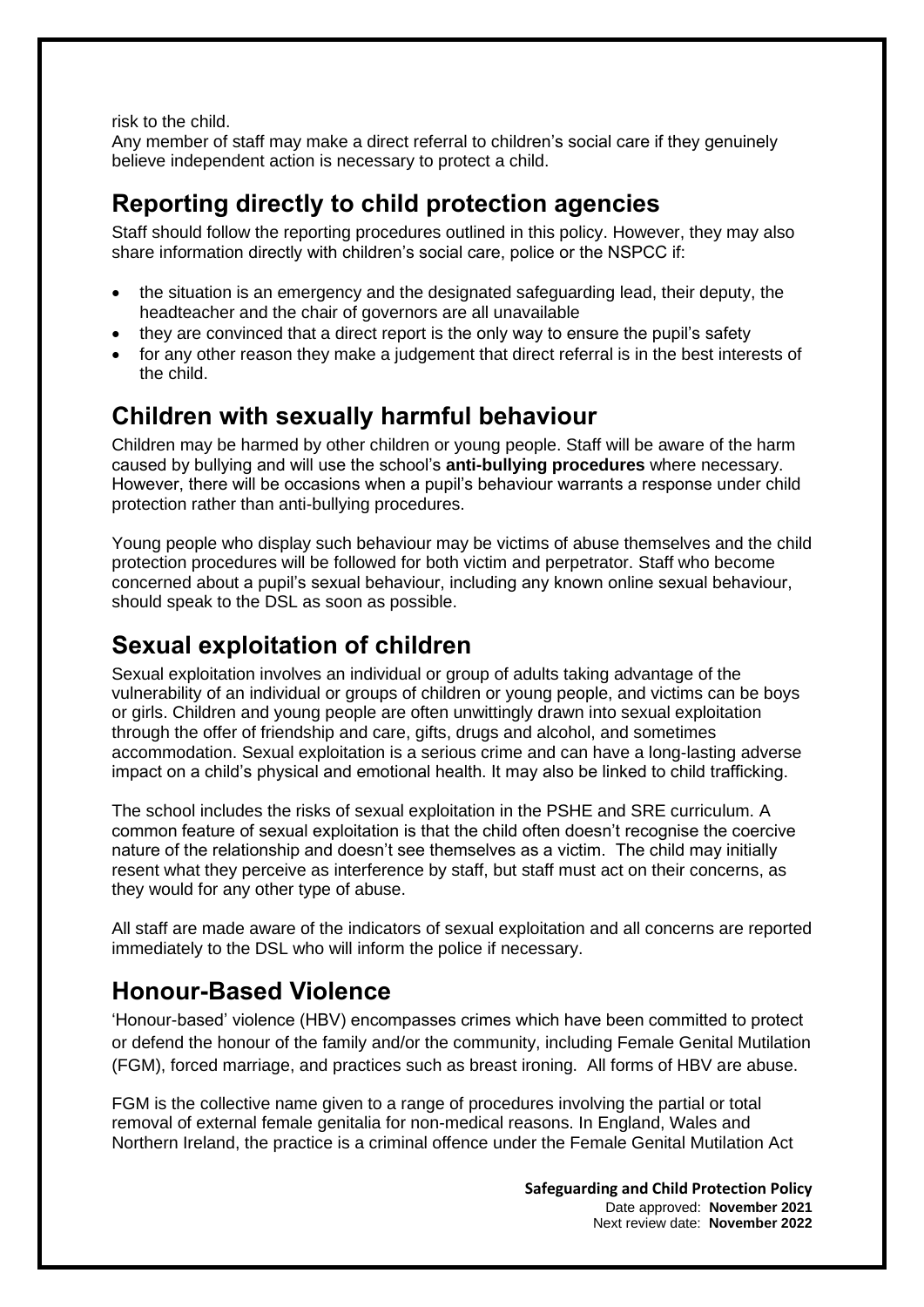risk to the child.

Any member of staff may make a direct referral to children's social care if they genuinely believe independent action is necessary to protect a child.

## **Reporting directly to child protection agencies**

Staff should follow the reporting procedures outlined in this policy. However, they may also share information directly with children's social care, police or the NSPCC if:

- the situation is an emergency and the designated safeguarding lead, their deputy, the headteacher and the chair of governors are all unavailable
- they are convinced that a direct report is the only way to ensure the pupil's safety
- for any other reason they make a judgement that direct referral is in the best interests of the child.

## **Children with sexually harmful behaviour**

Children may be harmed by other children or young people. Staff will be aware of the harm caused by bullying and will use the school's **anti-bullying procedures** where necessary. However, there will be occasions when a pupil's behaviour warrants a response under child protection rather than anti-bullying procedures.

Young people who display such behaviour may be victims of abuse themselves and the child protection procedures will be followed for both victim and perpetrator. Staff who become concerned about a pupil's sexual behaviour, including any known online sexual behaviour, should speak to the DSL as soon as possible.

## **Sexual exploitation of children**

Sexual exploitation involves an individual or group of adults taking advantage of the vulnerability of an individual or groups of children or young people, and victims can be boys or girls. Children and young people are often unwittingly drawn into sexual exploitation through the offer of friendship and care, gifts, drugs and alcohol, and sometimes accommodation. Sexual exploitation is a serious crime and can have a long-lasting adverse impact on a child's physical and emotional health. It may also be linked to child trafficking.

The school includes the risks of sexual exploitation in the PSHE and SRE curriculum. A common feature of sexual exploitation is that the child often doesn't recognise the coercive nature of the relationship and doesn't see themselves as a victim. The child may initially resent what they perceive as interference by staff, but staff must act on their concerns, as they would for any other type of abuse.

All staff are made aware of the indicators of sexual exploitation and all concerns are reported immediately to the DSL who will inform the police if necessary.

## **Honour-Based Violence**

'Honour-based' violence (HBV) encompasses crimes which have been committed to protect or defend the honour of the family and/or the community, including Female Genital Mutilation (FGM), forced marriage, and practices such as breast ironing. All forms of HBV are abuse.

FGM is the collective name given to a range of procedures involving the partial or total removal of external female genitalia for non-medical reasons. In England, Wales and Northern Ireland, the practice is a criminal offence under the Female Genital Mutilation Act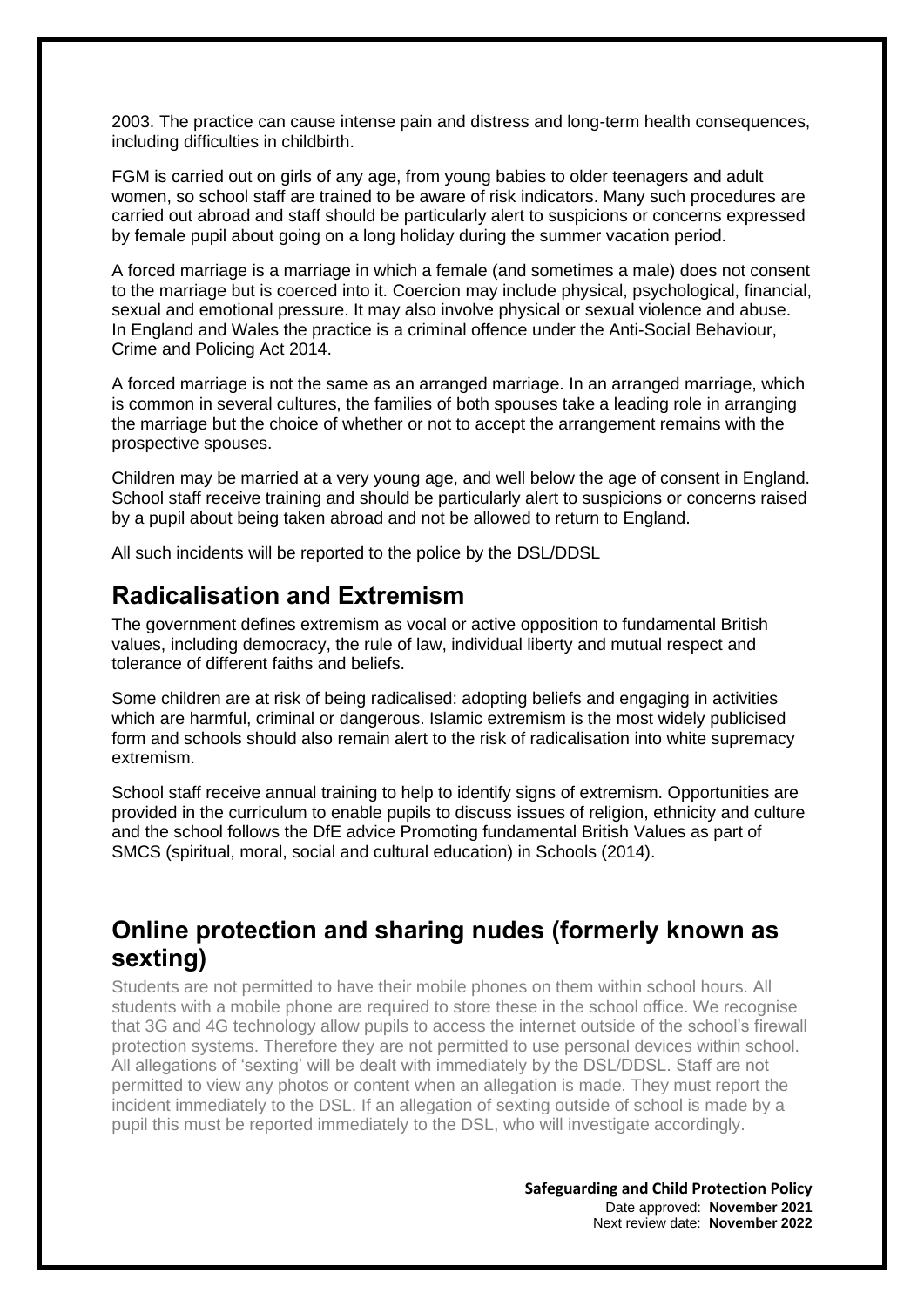2003. The practice can cause intense pain and distress and long-term health consequences, including difficulties in childbirth.

FGM is carried out on girls of any age, from young babies to older teenagers and adult women, so school staff are trained to be aware of risk indicators. Many such procedures are carried out abroad and staff should be particularly alert to suspicions or concerns expressed by female pupil about going on a long holiday during the summer vacation period.

A forced marriage is a marriage in which a female (and sometimes a male) does not consent to the marriage but is coerced into it. Coercion may include physical, psychological, financial, sexual and emotional pressure. It may also involve physical or sexual violence and abuse. In England and Wales the practice is a criminal offence under the Anti-Social Behaviour, Crime and Policing Act 2014.

A forced marriage is not the same as an arranged marriage. In an arranged marriage, which is common in several cultures, the families of both spouses take a leading role in arranging the marriage but the choice of whether or not to accept the arrangement remains with the prospective spouses.

Children may be married at a very young age, and well below the age of consent in England. School staff receive training and should be particularly alert to suspicions or concerns raised by a pupil about being taken abroad and not be allowed to return to England.

All such incidents will be reported to the police by the DSL/DDSL

### **Radicalisation and Extremism**

The government defines extremism as vocal or active opposition to fundamental British values, including democracy, the rule of law, individual liberty and mutual respect and tolerance of different faiths and beliefs.

Some children are at risk of being radicalised: adopting beliefs and engaging in activities which are harmful, criminal or dangerous. Islamic extremism is the most widely publicised form and schools should also remain alert to the risk of radicalisation into white supremacy extremism.

School staff receive annual training to help to identify signs of extremism. Opportunities are provided in the curriculum to enable pupils to discuss issues of religion, ethnicity and culture and the school follows the DfE advice Promoting fundamental British Values as part of SMCS (spiritual, moral, social and cultural education) in Schools (2014).

### **Online protection and sharing nudes (formerly known as sexting)**

Students are not permitted to have their mobile phones on them within school hours. All students with a mobile phone are required to store these in the school office. We recognise that 3G and 4G technology allow pupils to access the internet outside of the school's firewall protection systems. Therefore they are not permitted to use personal devices within school. All allegations of 'sexting' will be dealt with immediately by the DSL/DDSL. Staff are not permitted to view any photos or content when an allegation is made. They must report the incident immediately to the DSL. If an allegation of sexting outside of school is made by a pupil this must be reported immediately to the DSL, who will investigate accordingly.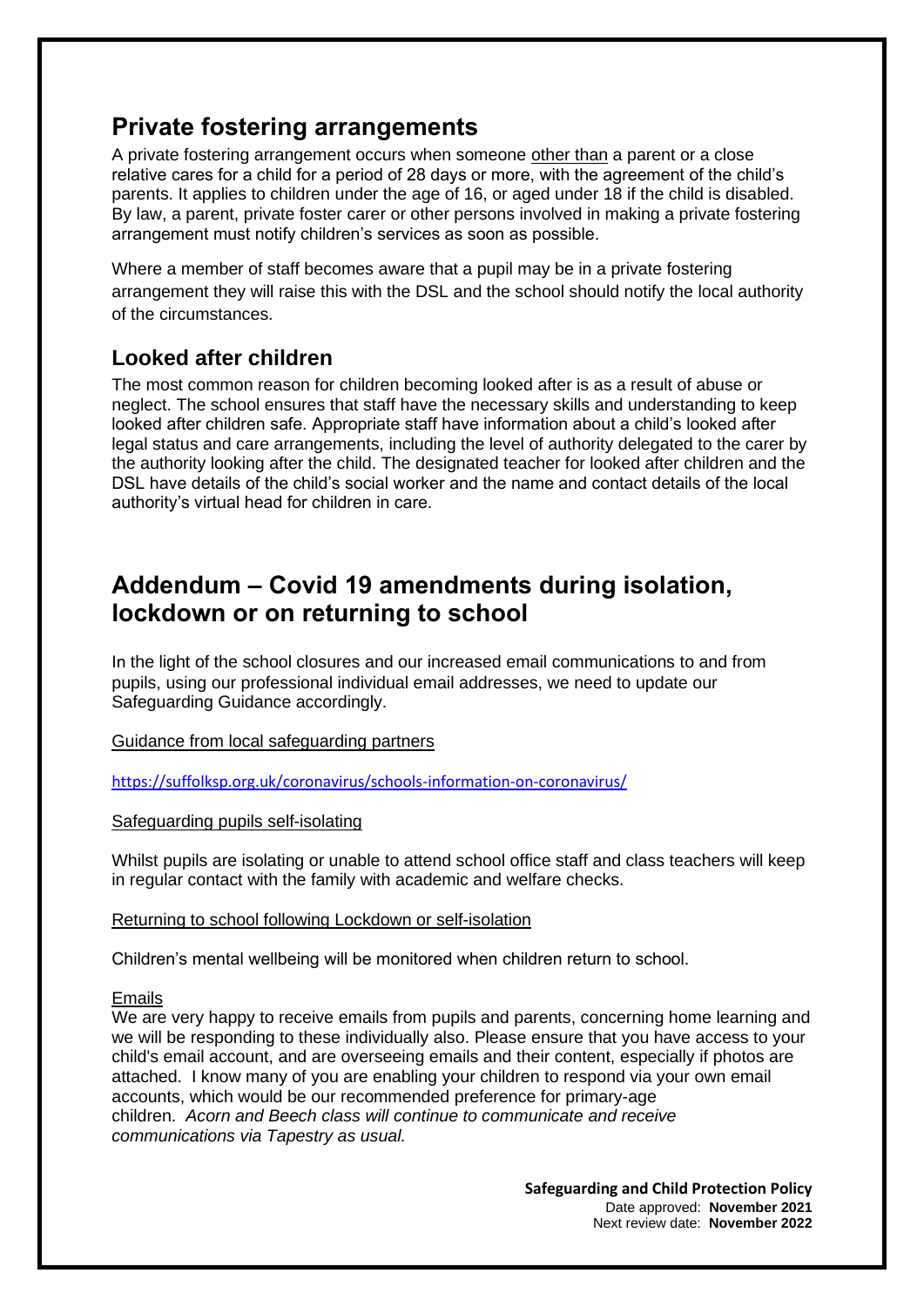### **Private fostering arrangements**

A private fostering arrangement occurs when someone other than a parent or a close relative cares for a child for a period of 28 days or more, with the agreement of the child's parents. It applies to children under the age of 16, or aged under 18 if the child is disabled. By law, a parent, private foster carer or other persons involved in making a private fostering arrangement must notify children's services as soon as possible.

Where a member of staff becomes aware that a pupil may be in a private fostering arrangement they will raise this with the DSL and the school should notify the local authority of the circumstances.

#### **Looked after children**

The most common reason for children becoming looked after is as a result of abuse or neglect. The school ensures that staff have the necessary skills and understanding to keep looked after children safe. Appropriate staff have information about a child's looked after legal status and care arrangements, including the level of authority delegated to the carer by the authority looking after the child. The designated teacher for looked after children and the DSL have details of the child's social worker and the name and contact details of the local authority's virtual head for children in care.

### **Addendum – Covid 19 amendments during isolation, lockdown or on returning to school**

In the light of the school closures and our increased email communications to and from pupils, using our professional individual email addresses, we need to update our Safeguarding Guidance accordingly.

Guidance from local safeguarding partners

<https://suffolksp.org.uk/coronavirus/schools-information-on-coronavirus/>

Safeguarding pupils self-isolating

Whilst pupils are isolating or unable to attend school office staff and class teachers will keep in regular contact with the family with academic and welfare checks.

#### Returning to school following Lockdown or self-isolation

Children's mental wellbeing will be monitored when children return to school.

#### Emails

We are very happy to receive emails from pupils and parents, concerning home learning and we will be responding to these individually also. Please ensure that you have access to your child's email account, and are overseeing emails and their content, especially if photos are attached. I know many of you are enabling your children to respond via your own email accounts, which would be our recommended preference for primary-age children. *Acorn and Beech class will continue to communicate and receive communications via Tapestry as usual.*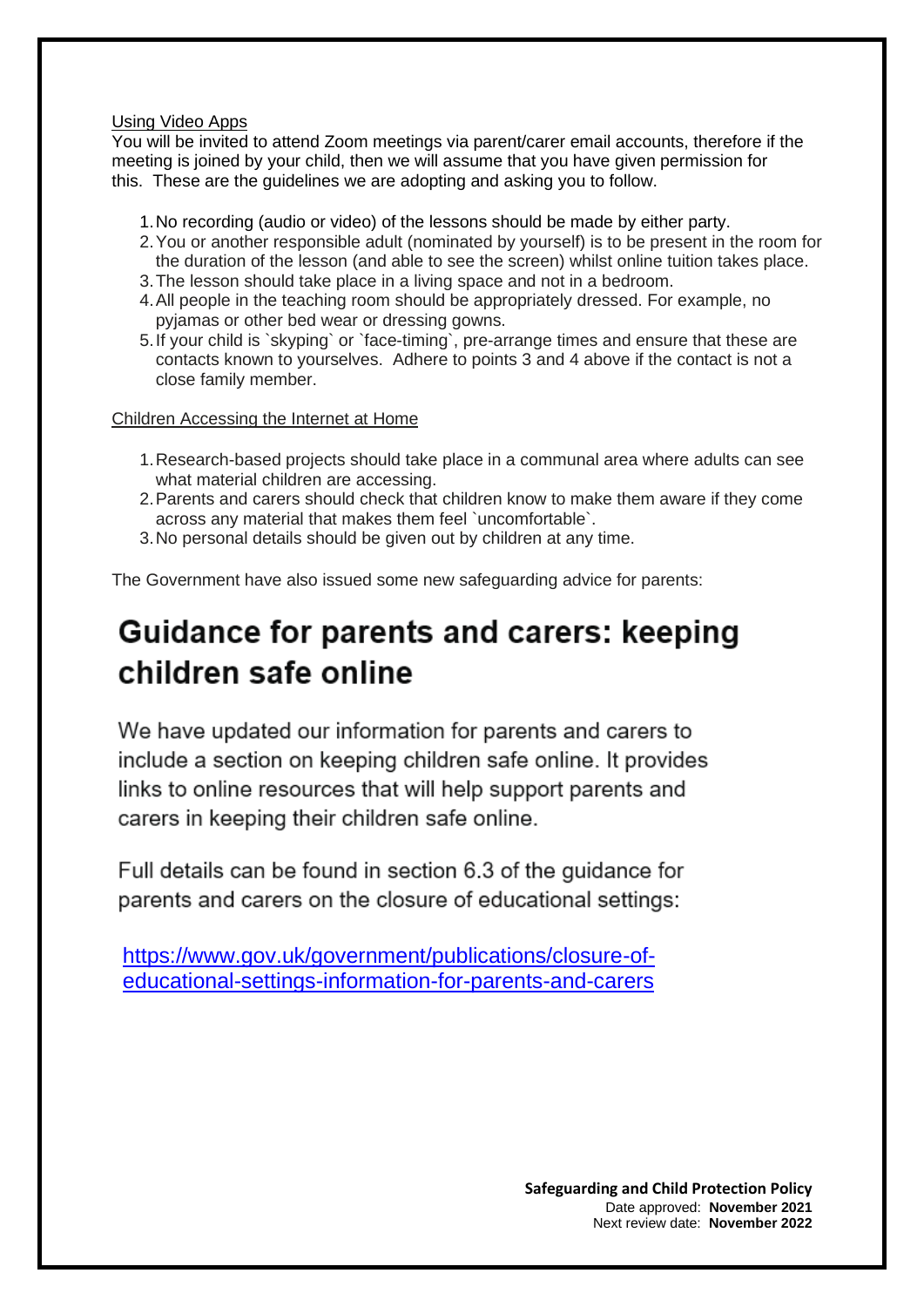#### Using Video Apps

You will be invited to attend Zoom meetings via parent/carer email accounts, therefore if the meeting is joined by your child, then we will assume that you have given permission for this. These are the guidelines we are adopting and asking you to follow.

- 1.No recording (audio or video) of the lessons should be made by either party.
- 2.You or another responsible adult (nominated by yourself) is to be present in the room for the duration of the lesson (and able to see the screen) whilst online tuition takes place.
- 3.The lesson should take place in a living space and not in a bedroom.
- 4.All people in the teaching room should be appropriately dressed. For example, no pyjamas or other bed wear or dressing gowns.
- 5.If your child is `skyping` or `face-timing`, pre-arrange times and ensure that these are contacts known to yourselves. Adhere to points 3 and 4 above if the contact is not a close family member.

Children Accessing the Internet at Home

- 1.Research-based projects should take place in a communal area where adults can see what material children are accessing.
- 2.Parents and carers should check that children know to make them aware if they come across any material that makes them feel `uncomfortable`.
- 3.No personal details should be given out by children at any time.

The Government have also issued some new safeguarding advice for parents:

# Guidance for parents and carers: keeping children safe online

We have updated our information for parents and carers to include a section on keeping children safe online. It provides links to online resources that will help support parents and carers in keeping their children safe online.

Full details can be found in section 6.3 of the quidance for parents and carers on the closure of educational settings:

[https://www.gov.uk/government/publications/closure-of](https://www.gov.uk/government/publications/closure-of-educational-settings-information-for-parents-and-carers)[educational-settings-information-for-parents-and-carers](https://www.gov.uk/government/publications/closure-of-educational-settings-information-for-parents-and-carers)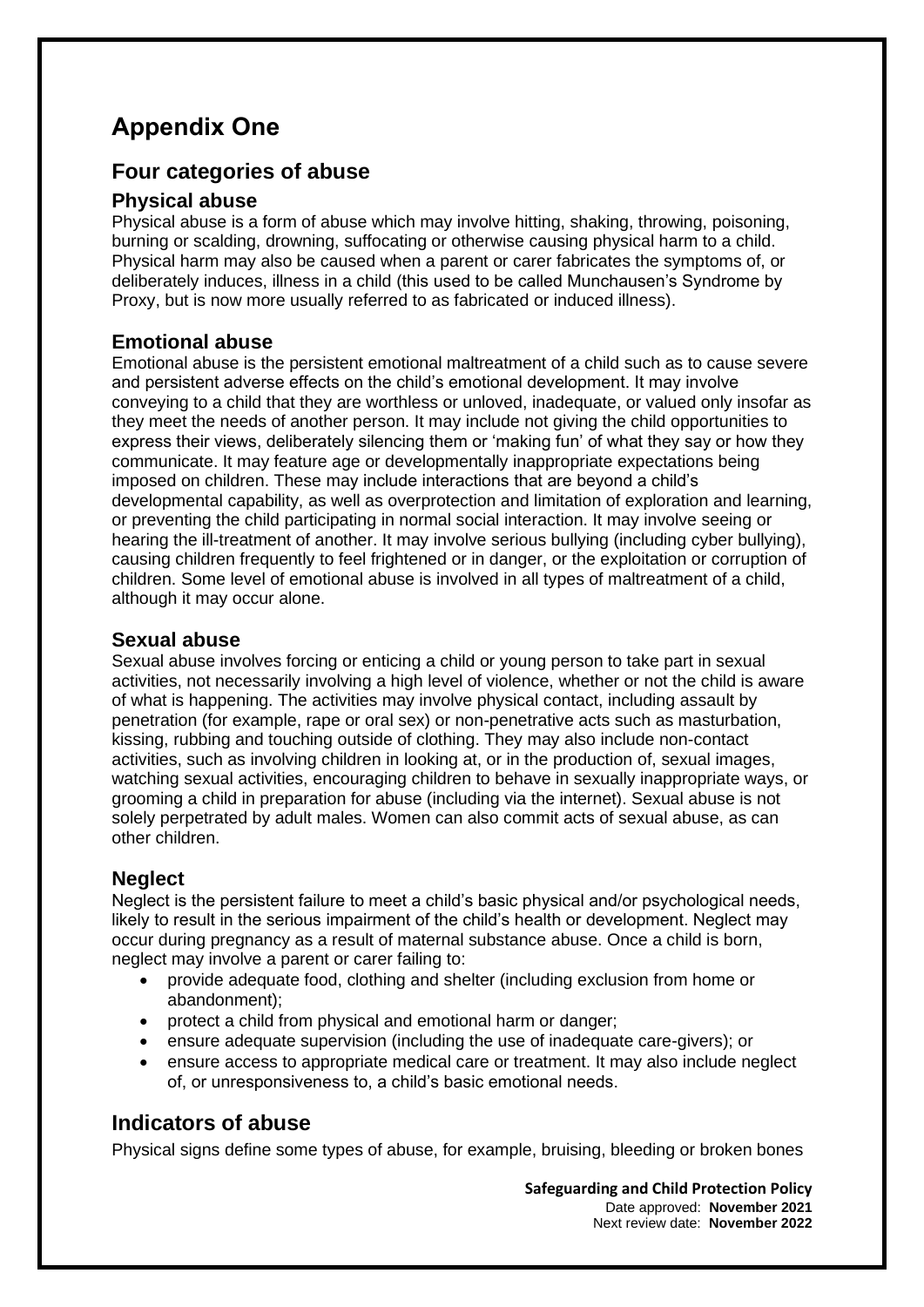## **Appendix One**

#### **Four categories of abuse**

#### **Physical abuse**

Physical abuse is a form of abuse which may involve hitting, shaking, throwing, poisoning, burning or scalding, drowning, suffocating or otherwise causing physical harm to a child. Physical harm may also be caused when a parent or carer fabricates the symptoms of, or deliberately induces, illness in a child (this used to be called Munchausen's Syndrome by Proxy, but is now more usually referred to as fabricated or induced illness).

#### **Emotional abuse**

Emotional abuse is the persistent emotional maltreatment of a child such as to cause severe and persistent adverse effects on the child's emotional development. It may involve conveying to a child that they are worthless or unloved, inadequate, or valued only insofar as they meet the needs of another person. It may include not giving the child opportunities to express their views, deliberately silencing them or 'making fun' of what they say or how they communicate. It may feature age or developmentally inappropriate expectations being imposed on children. These may include interactions that are beyond a child's developmental capability, as well as overprotection and limitation of exploration and learning, or preventing the child participating in normal social interaction. It may involve seeing or hearing the ill-treatment of another. It may involve serious bullying (including cyber bullying), causing children frequently to feel frightened or in danger, or the exploitation or corruption of children. Some level of emotional abuse is involved in all types of maltreatment of a child, although it may occur alone.

#### **Sexual abuse**

Sexual abuse involves forcing or enticing a child or young person to take part in sexual activities, not necessarily involving a high level of violence, whether or not the child is aware of what is happening. The activities may involve physical contact, including assault by penetration (for example, rape or oral sex) or non-penetrative acts such as masturbation, kissing, rubbing and touching outside of clothing. They may also include non-contact activities, such as involving children in looking at, or in the production of, sexual images, watching sexual activities, encouraging children to behave in sexually inappropriate ways, or grooming a child in preparation for abuse (including via the internet). Sexual abuse is not solely perpetrated by adult males. Women can also commit acts of sexual abuse, as can other children.

#### **Neglect**

Neglect is the persistent failure to meet a child's basic physical and/or psychological needs, likely to result in the serious impairment of the child's health or development. Neglect may occur during pregnancy as a result of maternal substance abuse. Once a child is born, neglect may involve a parent or carer failing to:

- provide adequate food, clothing and shelter (including exclusion from home or abandonment);
- protect a child from physical and emotional harm or danger;
- ensure adequate supervision (including the use of inadequate care-givers); or
- ensure access to appropriate medical care or treatment. It may also include neglect of, or unresponsiveness to, a child's basic emotional needs.

#### **Indicators of abuse**

Physical signs define some types of abuse, for example, bruising, bleeding or broken bones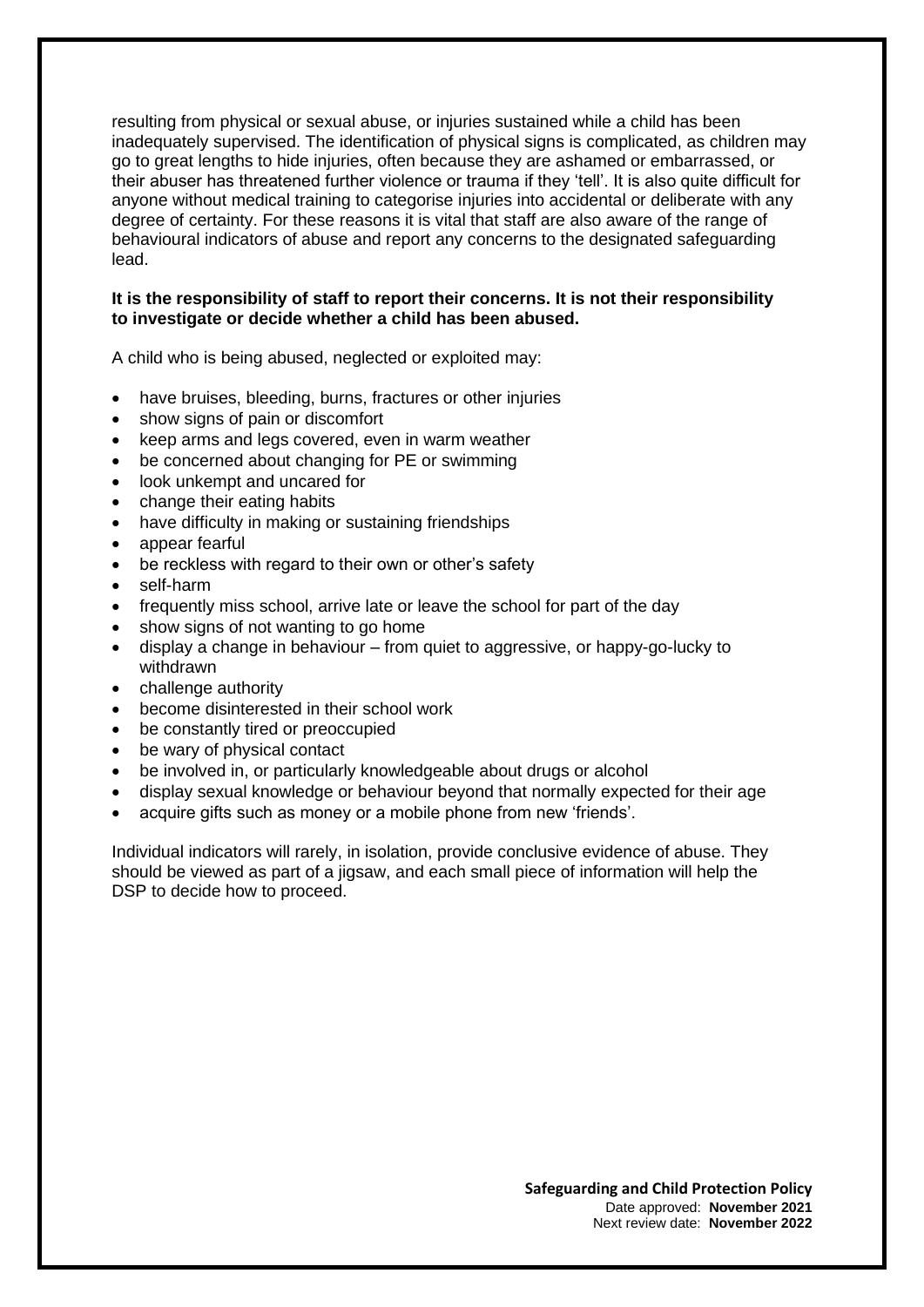resulting from physical or sexual abuse, or injuries sustained while a child has been inadequately supervised. The identification of physical signs is complicated, as children may go to great lengths to hide injuries, often because they are ashamed or embarrassed, or their abuser has threatened further violence or trauma if they 'tell'. It is also quite difficult for anyone without medical training to categorise injuries into accidental or deliberate with any degree of certainty. For these reasons it is vital that staff are also aware of the range of behavioural indicators of abuse and report any concerns to the designated safeguarding lead.

#### **It is the responsibility of staff to report their concerns. It is not their responsibility to investigate or decide whether a child has been abused.**

A child who is being abused, neglected or exploited may:

- have bruises, bleeding, burns, fractures or other injuries
- show signs of pain or discomfort
- keep arms and legs covered, even in warm weather
- be concerned about changing for PE or swimming
- look unkempt and uncared for
- change their eating habits
- have difficulty in making or sustaining friendships
- appear fearful
- be reckless with regard to their own or other's safety
- self-harm
- frequently miss school, arrive late or leave the school for part of the day
- show signs of not wanting to go home
- display a change in behaviour from quiet to aggressive, or happy-go-lucky to withdrawn
- challenge authority
- become disinterested in their school work
- be constantly tired or preoccupied
- be wary of physical contact
- be involved in, or particularly knowledgeable about drugs or alcohol
- display sexual knowledge or behaviour beyond that normally expected for their age
- acquire gifts such as money or a mobile phone from new 'friends'.

Individual indicators will rarely, in isolation, provide conclusive evidence of abuse. They should be viewed as part of a jigsaw, and each small piece of information will help the DSP to decide how to proceed.